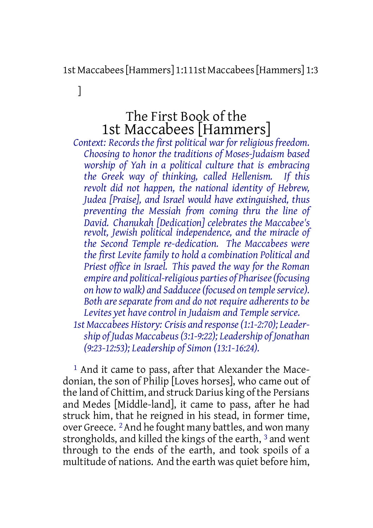1st Maccabees[Hammers] 1:111st Maccabees[Hammers] 1:3

The First Book of the 1st Maccabees [Hammers]

]

*Context: Records the first political war for religious freedom. Choosing to honor the traditions of Moses-Judaism based worship of Yah in a political culture that is embracing the Greek way of thinking, called Hellenism. If this revolt did not happen, the national identity of Hebrew, Judea [Praise], and Israel would have extinguished, thus preventing the Messiah from coming thru the line of David. Chanukah [Dedication] celebrates the Maccabee's revolt, Jewish political independence, and the miracle of the Second Temple re-dedication. The Maccabees were the first Levite family to hold a combination Political and Priest office in Israel. This paved the way for the Roman empire and political-religious parties of Pharisee(focusing on how to walk) and Sadducee(focused on templeservice). Both are separate from and do not require adherents to be Levites yet have control in Judaism and Temple service. 1st Maccabees History: Crisis and response(1:1-2:70); Leadership of Judas Maccabeus(3:1-9:22); Leadership of Jonathan (9:23-12:53); Leadership of Simon (13:1-16:24).*

1 And it came to pass, after that Alexander the Macedonian, the son of Philip [Loves horses], who came out of the land of Chittim, and struck Darius king of the Persians and Medes [Middle-land], it came to pass, after he had struck him, that he reigned in his stead, in former time, over Greece. 2And he fought many battles, and won many strongholds, and killed the kings of the earth, 3 and went through to the ends of the earth, and took spoils of a multitude of nations. And the earth was quiet before him,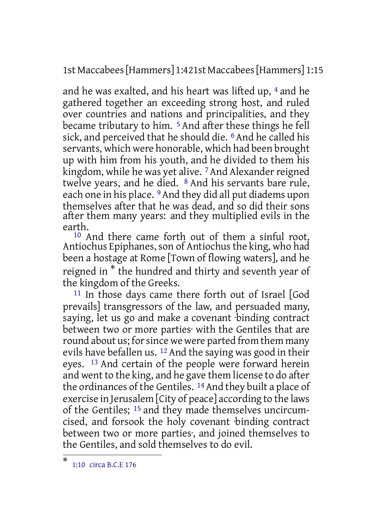1st Maccabees[Hammers] 1:421st Maccabees[Hammers] 1:15

and he was exalted, and his heart was lifted up, 4 and he gathered together an exceeding strong host, and ruled over countries and nations and principalities, and they became tributary to him.<sup>5</sup> And after these things he fell sick, and perceived that he should die. <sup>6</sup> And he called his servants, which were honorable, which had been brought up with him from his youth, and he divided to them his kingdom, while he was yet alive. <sup>7</sup> And Alexander reigned twelve years, and he died. 8 And his servants bare rule, each one in his place. <sup>9</sup> And they did all put diadems upon themselves after that he was dead, and so did their sons after them many years: and they multiplied evils in the earth.

10 And there came forth out of them a sinful root, Antiochus Epiphanes, son of Antiochus the king, who had been a hostage at Rome [Town of flowing waters], and he reigned in \* the hundred and thirty and seventh year of the kingdom of the Greeks.

<sup>11</sup> In those days came there forth out of Israel [God prevails] transgressors of the law, and persuaded many, saying, let us go and make a covenant binding contract between two or more parties· with the Gentiles that are round about us; for since we were parted from them many evils have befallen us. <sup>12</sup> And the saying was good in their eyes. 13 And certain of the people were forward herein and went to the king, and he gave them license to do after the ordinances of the Gentiles. <sup>14</sup> And they built a place of exercise in Jerusalem [City of peace] according to the laws of the Gentiles; 15 and they made themselves uncircumcised, and forsook the holy covenant ·binding contract between two or more parties·, and joined themselves to the Gentiles, and sold themselves to do evil.

<sup>\*</sup> 1:10 circa B.C.E 176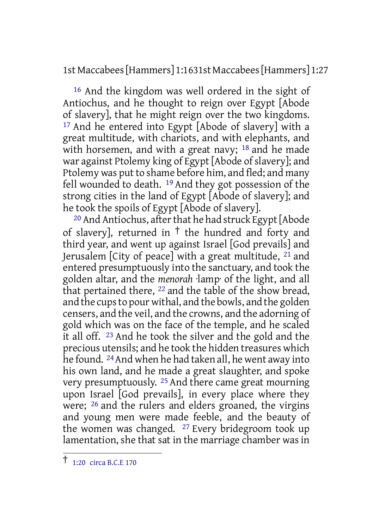1st Maccabees[Hammers] 1:1631st Maccabees[Hammers] 1:27

16 And the kingdom was well ordered in the sight of Antiochus, and he thought to reign over Egypt [Abode of slavery], that he might reign over the two kingdoms. 17 And he entered into Egypt [Abode of slavery] with a great multitude, with chariots, and with elephants, and with horsemen, and with a great navy;  $18$  and he made war against Ptolemy king of Egypt [Abode of slavery]; and Ptolemy was put to shame before him, and fled; and many fell wounded to death. 19 And they got possession of the strong cities in the land of Egypt [Abode of slavery]; and he took the spoils of Egypt [Abode of slavery].

<sup>20</sup> And Antiochus, after that he had struck Egypt [Abode of slavery], returned in  $\dagger$  the hundred and forty and third year, and went up against Israel [God prevails] and Jerusalem [City of peace] with a great multitude, 21 and entered presumptuously into the sanctuary, and took the golden altar, and the *menorah* ·lamp· of the light, and all that pertained there, 22 and the table of the show bread, and the cups to pour withal, and the bowls, and the golden censers, and the veil, and the crowns, and the adorning of gold which was on the face of the temple, and he scaled it all off. 23 And he took the silver and the gold and the precious utensils; and he took the hidden treasures which he found. 24And when he had taken all, he went away into his own land, and he made a great slaughter, and spoke very presumptuously. 25 And there came great mourning upon Israel [God prevails], in every place where they were; 26 and the rulers and elders groaned, the virgins and young men were made feeble, and the beauty of the women was changed. 27 Every bridegroom took up lamentation, she that sat in the marriage chamber was in

<sup>†</sup> 1:20 circa B.C.E <sup>170</sup>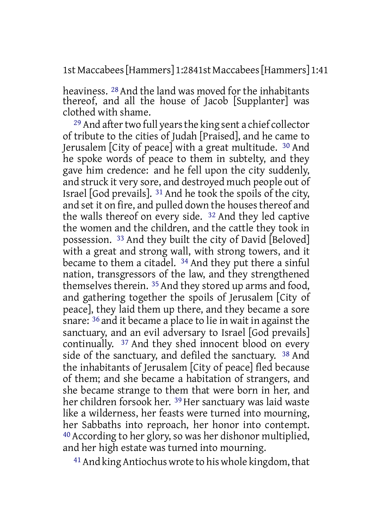1st Maccabees[Hammers] 1:2841st Maccabees[Hammers] 1:41

heaviness. 28 And the land was moved for the inhabitants thereof, and all the house of Jacob [Supplanter] was clothed with shame.

<sup>29</sup> And after two full years the king sent a chief collector of tribute to the cities of Judah [Praised], and he came to Jerusalem [City of peace] with a great multitude. 30 And he spoke words of peace to them in subtelty, and they gave him credence: and he fell upon the city suddenly, and struck it very sore, and destroyed much people out of Israel [God prevails]. 31 And he took the spoils of the city, and set it on fire, and pulled down the houses thereof and the walls thereof on every side. 32 And they led captive the women and the children, and the cattle they took in possession. 33 And they built the city of David [Beloved] with a great and strong wall, with strong towers, and it became to them a citadel. 34 And they put there a sinful nation, transgressors of the law, and they strengthened themselves therein. 35 And they stored up arms and food, and gathering together the spoils of Jerusalem [City of peace], they laid them up there, and they became a sore snare: 36 and it became a place to lie in wait in against the sanctuary, and an evil adversary to Israel [God prevails] continually. 37 And they shed innocent blood on every side of the sanctuary, and defiled the sanctuary. 38 And the inhabitants of Jerusalem [City of peace] fled because of them; and she became a habitation of strangers, and she became strange to them that were born in her, and her children forsook her. 39 Her sanctuary was laid waste like a wilderness, her feasts were turned into mourning, her Sabbaths into reproach, her honor into contempt. 40 According to her glory, so was her dishonor multiplied, and her high estate was turned into mourning.

<sup>41</sup> And king Antiochus wrote to his whole kingdom, that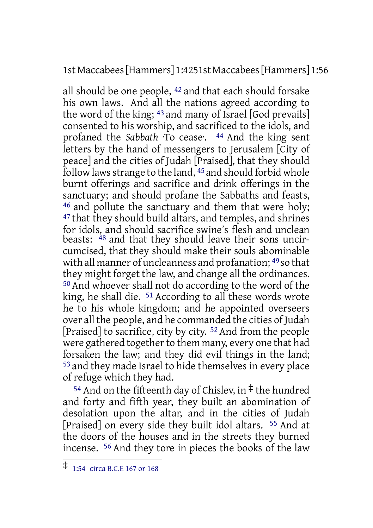1st Maccabees[Hammers] 1:4251st Maccabees[Hammers] 1:56

all should be one people, 42 and that each should forsake his own laws. And all the nations agreed according to the word of the king; 43 and many of Israel [God prevails] consented to his worship, and sacrificed to the idols, and profaned the *Sabbath* ·To cease·. 44 And the king sent letters by the hand of messengers to Jerusalem [City of peace] and the cities of Judah [Praised], that they should follow laws strange to the land,  $45$  and should forbid whole burnt offerings and sacrifice and drink offerings in the sanctuary; and should profane the Sabbaths and feasts, 46 and pollute the sanctuary and them that were holy; 47 that they should build altars, and temples, and shrines for idols, and should sacrifice swine's flesh and unclean beasts:  $^{48}$  and that they should leave their sons uncircumcised, that they should make their souls abominable with all manner of uncleanness and profanation; 49 so that they might forget the law, and change all the ordinances. 50 And whoever shall not do according to the word of the king, he shall die. 51 According to all these words wrote he to his whole kingdom; and he appointed overseers over all the people, and he commanded the cities of Judah [Praised] to sacrifice, city by city. 52 And from the people were gathered together to them many, every one that had forsaken the law; and they did evil things in the land; 53 and they made Israel to hide themselves in every place of refuge which they had.

<sup>54</sup> And on the fifteenth day of Chisley, in  $\ddagger$  the hundred and forty and fifth year, they built an abomination of desolation upon the altar, and in the cities of Judah [Praised] on every side they built idol altars. 55 And at the doors of the houses and in the streets they burned incense. 56 And they tore in pieces the books of the law

<sup>‡</sup> 1:54 circa B.C.E <sup>167</sup> or <sup>168</sup>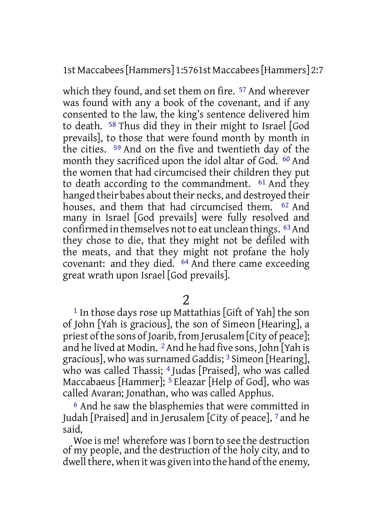1st Maccabees[Hammers] 1:5761st Maccabees[Hammers] 2:7

which they found, and set them on fire. 57 And wherever was found with any a book of the covenant, and if any consented to the law, the king's sentence delivered him to death. 58 Thus did they in their might to Israel [God prevails], to those that were found month by month in the cities. 59 And on the five and twentieth day of the month they sacrificed upon the idol altar of God. <sup>60</sup> And the women that had circumcised their children they put to death according to the commandment. 61 And they hanged their babes about their necks, and destroyed their houses, and them that had circumcised them. <sup>62</sup> And many in Israel [God prevails] were fully resolved and confirmed in themselves not to eat unclean things. <sup>63</sup> And they chose to die, that they might not be defiled with the meats, and that they might not profane the holy covenant: and they died. 64 And there came exceeding great wrath upon Israel [God prevails].

2

1 In those days rose up Mattathias [Gift of Yah] the son of John [Yah is gracious], the son of Simeon [Hearing], a priest of the sons of Joarib, from Jerusalem [City of peace]; and he lived at Modin. 2And he had five sons, John [Yah is gracious], who was surnamed Gaddis; 3 Simeon [Hearing], who was called Thassi; <sup>4</sup> Judas [Praised], who was called Maccabaeus [Hammer]; 5 Eleazar [Help of God], who was called Avaran; Jonathan, who was called Apphus.

6 And he saw the blasphemies that were committed in Judah [Praised] and in Jerusalem [City of peace], 7 and he said,

Woe is me! wherefore was I born to see the destruction of my people, and the destruction of the holy city, and to dwell there, when it was given into the hand of the enemy,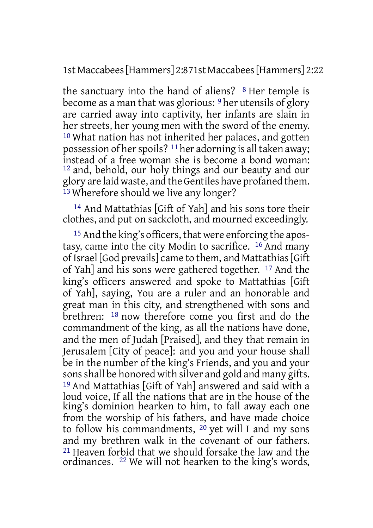1st Maccabees[Hammers] 2:871st Maccabees[Hammers] 2:22

the sanctuary into the hand of aliens? 8 Her temple is become as a man that was glorious: 9 her utensils of glory are carried away into captivity, her infants are slain in her streets, her young men with the sword of the enemy. 10 What nation has not inherited her palaces, and gotten possession of her spoils?  $11$  her adorning is all taken away; instead of a free woman she is become a bond woman: 12 and, behold, our holy things and our beauty and our glory are laid waste, and the Gentiles have profaned them.  $13$  Wherefore should we live any longer?

14 And Mattathias [Gift of Yah] and his sons tore their clothes, and put on sackcloth, and mourned exceedingly.

15 And the king's officers, that were enforcing the apostasy, came into the city Modin to sacrifice. 16 And many of Israel [God prevails] came to them, and Mattathias [Gift] of Yah] and his sons were gathered together. 17 And the king's officers answered and spoke to Mattathias [Gift of Yah], saying, You are a ruler and an honorable and great man in this city, and strengthened with sons and brethren: 18 now therefore come you first and do the commandment of the king, as all the nations have done, and the men of Judah [Praised], and they that remain in Jerusalem [City of peace]: and you and your house shall be in the number of the king's Friends, and you and your sons shall be honored with silver and gold and many gifts. 19 And Mattathias [Gift of Yah] answered and said with a loud voice, If all the nations that are in the house of the king's dominion hearken to him, to fall away each one from the worship of his fathers, and have made choice to follow his commandments, 20 yet will I and my sons and my brethren walk in the covenant of our fathers. 21 Heaven forbid that we should forsake the law and the ordinances. 22 We will not hearken to the king's words,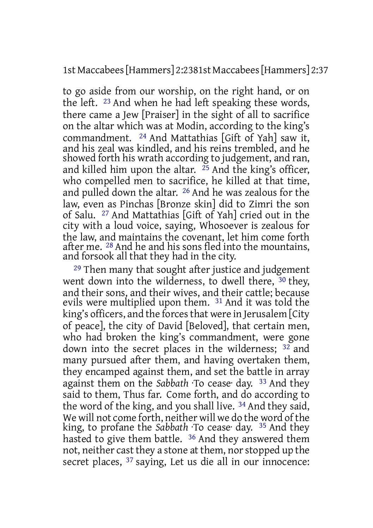1st Maccabees[Hammers] 2:2381st Maccabees[Hammers] 2:37

to go aside from our worship, on the right hand, or on the left. 23 And when he had left speaking these words, there came a Jew [Praiser] in the sight of all to sacrifice on the altar which was at Modin, according to the king's commandment. 24 And Mattathias [Gift of Yah] saw it, and his zeal was kindled, and his reins trembled, and he showed forth his wrath according to judgement, and ran, and killed him upon the altar.  $^{25}$  And the king's officer, who compelled men to sacrifice, he killed at that time, and pulled down the altar. 26 And he was zealous for the law, even as Pinchas [Bronze skin] did to Zimri the son of Salu. 27 And Mattathias [Gift of Yah] cried out in the city with a loud voice, saying, Whosoever is zealous for the law, and maintains the covenant, let him come forth after me. 28 And he and his sons fled into the mountains, and forsook all that they had in the city.

29 Then many that sought after justice and judgement went down into the wilderness, to dwell there, <sup>30</sup> they, and their sons, and their wives, and their cattle; because evils were multiplied upon them. 31 And it was told the king's officers, and the forces that were in Jerusalem [City] of peace], the city of David [Beloved], that certain men, who had broken the king's commandment, were gone down into the secret places in the wilderness; 32 and many pursued after them, and having overtaken them, they encamped against them, and set the battle in array against them on the *Sabbath* ·To cease· day. 33 And they said to them, Thus far. Come forth, and do according to the word of the king, and you shall live. 34 And they said, We will not come forth, neither will we do the word of the king, to profane the *Sabbath* ·To cease· day. 35 And they hasted to give them battle. <sup>36</sup> And they answered them not, neither cast they a stone at them, nor stopped up the secret places, <sup>37</sup> saying, Let us die all in our innocence: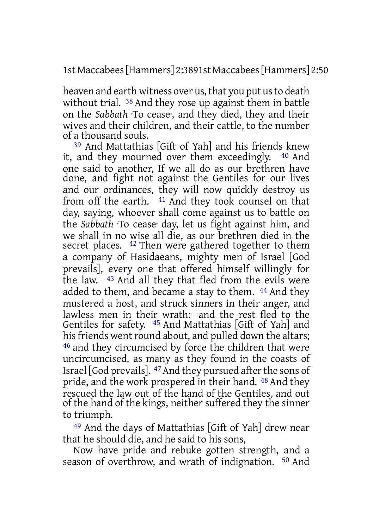1st Maccabees[Hammers] 2:3891st Maccabees[Hammers] 2:50

heaven and earth witness over us, that you put us to death without trial. <sup>38</sup> And they rose up against them in battle on the *Sabbath* ·To cease·, and they died, they and their wives and their children, and their cattle, to the number of a thousand souls.

<sup>39</sup> And Mattathias [Gift of Yah] and his friends knew<br>and they mourned over them exceedingly  $40$  And it, and they mourned over them exceedingly. one said to another, If we all do as our brethren have done, and fight not against the Gentiles for our lives and our ordinances, they will now quickly destroy us from off the earth. 41 And they took counsel on that day, saying, whoever shall come against us to battle on the *Sabbath* ·To cease· day, let us fight against him, and we shall in no wise all die, as our brethren died in the secret places. <sup>42</sup> Then were gathered together to them a company of Hasidaeans, mighty men of Israel [God prevails], every one that offered himself willingly for the law. 43 And all they that fled from the evils were added to them, and became a stay to them. 44 And they mustered a host, and struck sinners in their anger, and lawless men in their wrath: and the rest fled to the Gentiles for safety. 45 And Mattathias [Gift of Yah] and his friends went round about, and pulled down the altars; 46 and they circumcised by force the children that were uncircumcised, as many as they found in the coasts of Israel [God prevails]. <sup>47</sup> And they pursued after the sons of pride, and the work prospered in their hand. 48 And they rescued the law out of the hand of the Gentiles, and out of the hand of the kings, neither suffered they the sinner to triumph.

49 And the days of Mattathias [Gift of Yah] drew near that he should die, and he said to his sons,

Now have pride and rebuke gotten strength, and a season of overthrow, and wrath of indignation. 50 And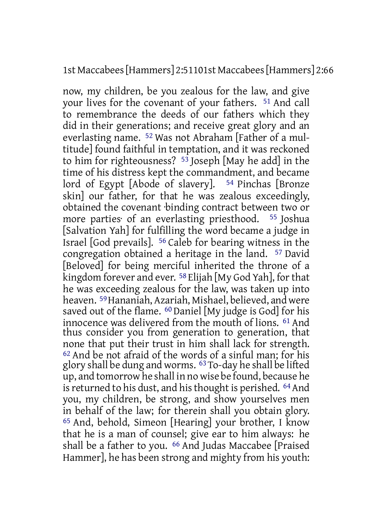### 1st Maccabees[Hammers] 2:51101st Maccabees[Hammers] 2:66

now, my children, be you zealous for the law, and give your lives for the covenant of your fathers. 51 And call to remembrance the deeds of our fathers which they did in their generations; and receive great glory and an everlasting name. 52 Was not Abraham [Father of a multitude] found faithful in temptation, and it was reckoned to him for righteousness?  $5^3$  Joseph [May he add] in the time of his distress kept the commandment, and became lord of Egypt [Abode of slavery]. <sup>54</sup> Pinchas [Bronze skin] our father, for that he was zealous exceedingly, obtained the covenant ·binding contract between two or more parties· of an everlasting priesthood. 55 Joshua [Salvation Yah] for fulfilling the word became a judge in Israel [God prevails]. 56 Caleb for bearing witness in the congregation obtained a heritage in the land. 57 David [Beloved] for being merciful inherited the throne of a kingdom forever and ever. <sup>58</sup> Elijah [My God Yah], for that he was exceeding zealous for the law, was taken up into heaven. 59Hananiah, Azariah, Mishael, believed, and were saved out of the flame. <sup>60</sup> Daniel [My judge is God] for his innocence was delivered from the mouth of lions. 61 And thus consider you from generation to generation, that none that put their trust in him shall lack for strength. 62 And be not afraid of the words of a sinful man; for his glory shall be dung and worms. 63To-day he shall be lifted up, and tomorrow he shall in no wise be found, because he is returned to his dust, and his thought is perished. <sup>64</sup> And you, my children, be strong, and show yourselves men in behalf of the law; for therein shall you obtain glory. 65 And, behold, Simeon [Hearing] your brother, I know that he is a man of counsel; give ear to him always: he shall be a father to you. 66 And Judas Maccabee [Praised Hammer], he has been strong and mighty from his youth: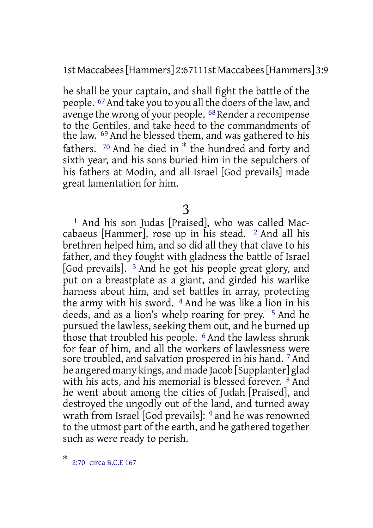1st Maccabees[Hammers] 2:67111st Maccabees[Hammers] 3:9

he shall be your captain, and shall fight the battle of the people. 67And take you to you all the doers of the law, and avenge the wrong of your people. <sup>68</sup> Render a recompense to the Gentiles, and take heed to the commandments of the law. 69 And he blessed them, and was gathered to his fathers. <sup>70</sup> And he died in \* the hundred and forty and sixth year, and his sons buried him in the sepulchers of his fathers at Modin, and all Israel [God prevails] made great lamentation for him.

3

1 And his son Judas [Praised], who was called Maccabaeus [Hammer], rose up in his stead.  $2$  And all his brethren helped him, and so did all they that clave to his father, and they fought with gladness the battle of Israel [God prevails]. 3 And he got his people great glory, and put on a breastplate as a giant, and girded his warlike harness about him, and set battles in array, protecting the army with his sword. 4 And he was like a lion in his deeds, and as a lion's whelp roaring for prey. 5 And he pursued the lawless, seeking them out, and he burned up those that troubled his people. <sup>6</sup> And the lawless shrunk for fear of him, and all the workers of lawlessness were sore troubled, and salvation prospered in his hand. 7 And he angered many kings, and made Jacob [Supplanter] glad with his acts, and his memorial is blessed forever. 8 And he went about among the cities of Judah [Praised], and destroyed the ungodly out of the land, and turned away wrath from Israel [God prevails]: 9 and he was renowned to the utmost part of the earth, and he gathered together such as were ready to perish.

<sup>\*</sup> 2:70 circa B.C.E 167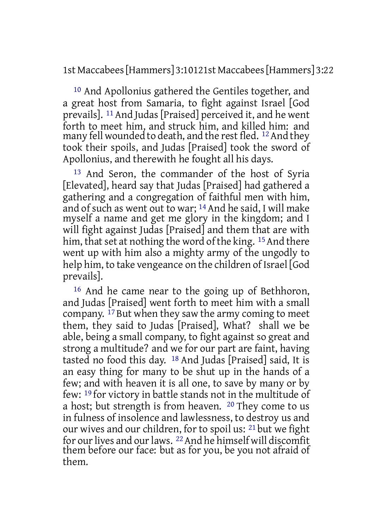1st Maccabees[Hammers] 3:10121st Maccabees[Hammers] 3:22

10 And Apollonius gathered the Gentiles together, and a great host from Samaria, to fight against Israel [God prevails]. 11 And Judas [Praised] perceived it, and he went forth to meet him, and struck him, and killed him: and many fell wounded to death, and the rest fled. <sup>12</sup> And they took their spoils, and Judas [Praised] took the sword of Apollonius, and therewith he fought all his days.

13 And Seron, the commander of the host of Syria [Elevated], heard say that Judas [Praised] had gathered a gathering and a congregation of faithful men with him, and of such as went out to war; 14 And he said, I will make myself a name and get me glory in the kingdom; and I will fight against Judas [Praised] and them that are with him, that set at nothing the word of the king. <sup>15</sup> And there went up with him also a mighty army of the ungodly to help him, to take vengeance on the children of Israel l God prevails].

16 And he came near to the going up of Bethhoron, and Judas [Praised] went forth to meet him with a small company. 17 But when they saw the army coming to meet them, they said to Judas [Praised], What? shall we be able, being a small company, to fight against so great and strong a multitude? and we for our part are faint, having tasted no food this day. 18 And Judas [Praised] said, It is an easy thing for many to be shut up in the hands of a few; and with heaven it is all one, to save by many or by few: 19 for victory in battle stands not in the multitude of a host; but strength is from heaven. 20 They come to us in fulness of insolence and lawlessness, to destroy us and our wives and our children, for to spoil us: 21 but we fight for our lives and our laws. <sup>22</sup> And he himself will discomfit them before our face: but as for you, be you not afraid of them.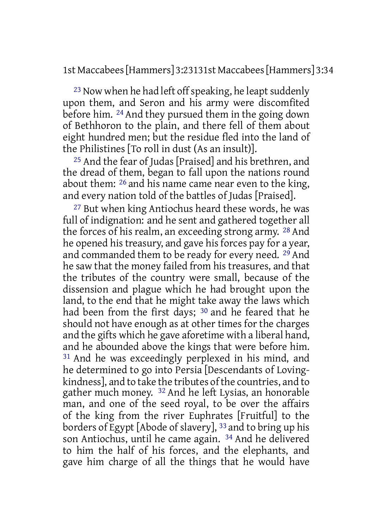1st Maccabees[Hammers] 3:23131st Maccabees[Hammers] 3:34

 $23$  Now when he had left off speaking, he leapt suddenly upon them, and Seron and his army were discomfited before him. 24 And they pursued them in the going down of Bethhoron to the plain, and there fell of them about eight hundred men; but the residue fled into the land of the Philistines [To roll in dust (As an insult)].

25 And the fear of Judas [Praised] and his brethren, and the dread of them, began to fall upon the nations round about them: 26 and his name came near even to the king, and every nation told of the battles of Judas [Praised].

27 But when king Antiochus heard these words, he was full of indignation: and he sent and gathered together all the forces of his realm, an exceeding strong army. 28 And he opened his treasury, and gave his forces pay for a year, and commanded them to be ready for every need. 29 And he saw that the money failed from his treasures, and that the tributes of the country were small, because of the dissension and plague which he had brought upon the land, to the end that he might take away the laws which had been from the first days; <sup>30</sup> and he feared that he should not have enough as at other times for the charges and the gifts which he gave aforetime with a liberal hand, and he abounded above the kings that were before him. 31 And he was exceedingly perplexed in his mind, and he determined to go into Persia [Descendants of Lovingkindness], and to take the tributes of the countries, and to gather much money. 32 And he left Lysias, an honorable man, and one of the seed royal, to be over the affairs of the king from the river Euphrates [Fruitful] to the borders of Egypt [Abode of slavery], 33 and to bring up his son Antiochus, until he came again. 34 And he delivered to him the half of his forces, and the elephants, and gave him charge of all the things that he would have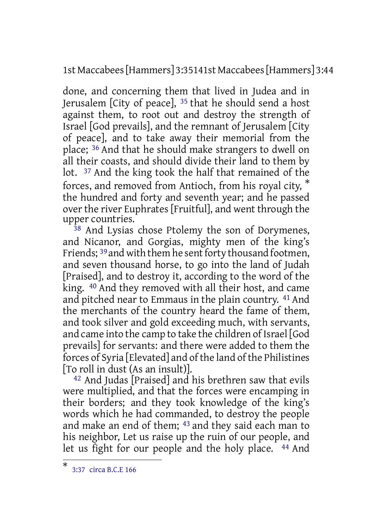1st Maccabees[Hammers] 3:35141st Maccabees[Hammers] 3:44

done, and concerning them that lived in Judea and in Jerusalem [City of peace], 35 that he should send a host against them, to root out and destroy the strength of Israel [God prevails], and the remnant of Jerusalem [City of peace], and to take away their memorial from the place; 36 And that he should make strangers to dwell on all their coasts, and should divide their land to them by lot. 37 And the king took the half that remained of the forces, and removed from Antioch, from his royal city, \* the hundred and forty and seventh year; and he passed over the river Euphrates [Fruitful], and went through the upper countries.

38 And Lysias chose Ptolemy the son of Dorymenes, and Nicanor, and Gorgias, mighty men of the king's Friends; <sup>39</sup> and with them he sent forty thousand footmen, and seven thousand horse, to go into the land of Judah [Praised], and to destroy it, according to the word of the king. 40 And they removed with all their host, and came and pitched near to Emmaus in the plain country. 41 And the merchants of the country heard the fame of them, and took silver and gold exceeding much, with servants, and came into the camp to take the children of Israel [God prevails] for servants: and there were added to them the forces of Syria [Elevated] and of the land of the Philistines [To roll in dust (As an insult)].

42 And Judas [Praised] and his brethren saw that evils were multiplied, and that the forces were encamping in their borders; and they took knowledge of the king's words which he had commanded, to destroy the people and make an end of them; 43 and they said each man to his neighbor, Let us raise up the ruin of our people, and let us fight for our people and the holy place. 44 And

<sup>\*</sup> 3:37 circa B.C.E 166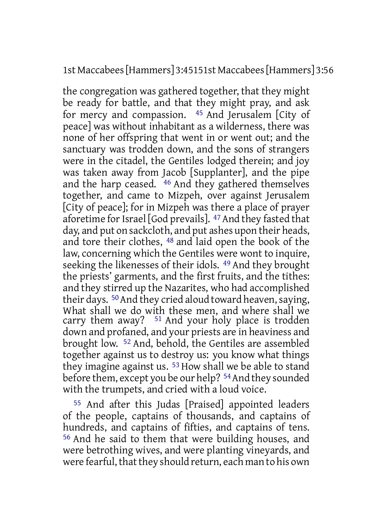## 1st Maccabees[Hammers] 3:45151st Maccabees[Hammers] 3:56

the congregation was gathered together, that they might be ready for battle, and that they might pray, and ask for mercy and compassion. 45 And Jerusalem [City of peace] was without inhabitant as a wilderness, there was none of her offspring that went in or went out; and the sanctuary was trodden down, and the sons of strangers were in the citadel, the Gentiles lodged therein; and joy was taken away from Jacob [Supplanter], and the pipe and the harp ceased. 46 And they gathered themselves together, and came to Mizpeh, over against Jerusalem [City of peace]; for in Mizpeh was there a place of prayer aforetime for Israel [God prevails]. <sup>47</sup> And they fasted that day, and put on sackcloth, and put ashes upon their heads, and tore their clothes, 48 and laid open the book of the law, concerning which the Gentiles were wont to inquire, seeking the likenesses of their idols. 49 And they brought the priests' garments, and the first fruits, and the tithes: and they stirred up the Nazarites, who had accomplished their days.  $50$  And they cried aloud toward heaven, saying, What shall we do with these men, and where shall we carry them away? 51 And your holy place is trodden down and profaned, and your priests are in heaviness and brought low. 52 And, behold, the Gentiles are assembled together against us to destroy us: you know what things they imagine against us. 53 How shall we be able to stand before them, except you be our help? 54And they sounded with the trumpets, and cried with a loud voice.

55 And after this Judas [Praised] appointed leaders of the people, captains of thousands, and captains of hundreds, and captains of fifties, and captains of tens. 56 And he said to them that were building houses, and were betrothing wives, and were planting vineyards, and were fearful, that they should return, each man to his own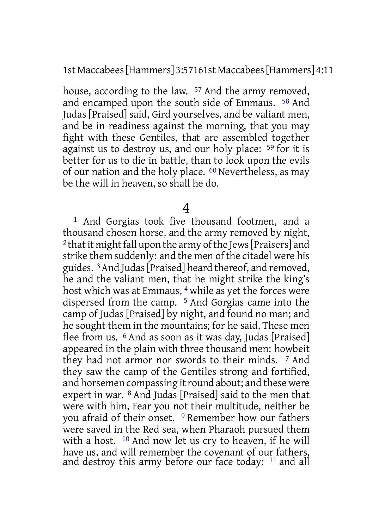1st Maccabees[Hammers] 3:57161st Maccabees[Hammers] 4:11

house, according to the law. 57 And the army removed, and encamped upon the south side of Emmaus. 58 And Judas [Praised] said, Gird yourselves, and be valiant men, and be in readiness against the morning, that you may fight with these Gentiles, that are assembled together against us to destroy us, and our holy place: <sup>59</sup> for it is better for us to die in battle, than to look upon the evils of our nation and the holy place. 60 Nevertheless, as may be the will in heaven, so shall he do.

4

1 And Gorgias took five thousand footmen, and a thousand chosen horse, and the army removed by night, <sup>2</sup> that it might fall upon the army of the Jews [Praisers] and strike them suddenly: and the men of the citadel were his guides. 3And Judas[Praised] heard thereof, and removed, he and the valiant men, that he might strike the king's host which was at Emmaus, <sup>4</sup> while as yet the forces were dispersed from the camp. 5 And Gorgias came into the camp of Judas [Praised] by night, and found no man; and he sought them in the mountains; for he said, These men flee from us. 6 And as soon as it was day, Judas [Praised] appeared in the plain with three thousand men: howbeit they had not armor nor swords to their minds. 7 And they saw the camp of the Gentiles strong and fortified, and horsemen compassing it round about; and these were expert in war. 8 And Judas [Praised] said to the men that were with him, Fear you not their multitude, neither be you afraid of their onset. 9 Remember how our fathers were saved in the Red sea, when Pharaoh pursued them with a host. 10 And now let us cry to heaven, if he will have us, and will remember the covenant of our fathers, and destroy this army before our face today: 11 and all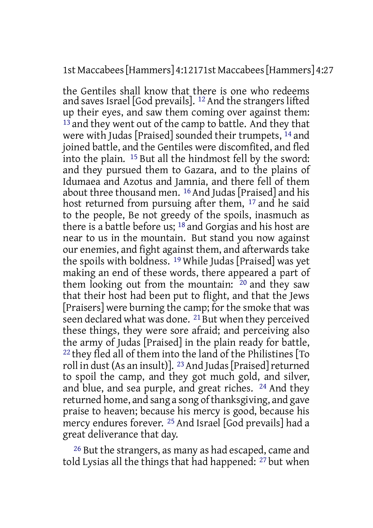#### 1st Maccabees[Hammers] 4:12171st Maccabees[Hammers] 4:27

the Gentiles shall know that there is one who redeems and saves Israel [God prevails]. 12 And the strangers lifted up their eyes, and saw them coming over against them:  $13$  and they went out of the camp to battle. And they that were with Judas [Praised] sounded their trumpets, 14 and joined battle, and the Gentiles were discomfited, and fled into the plain. 15 But all the hindmost fell by the sword: and they pursued them to Gazara, and to the plains of Idumaea and Azotus and Jamnia, and there fell of them about three thousand men. 16 And Judas [Praised] and his host returned from pursuing after them, 17 and he said to the people, Be not greedy of the spoils, inasmuch as there is a battle before us; 18 and Gorgias and his host are near to us in the mountain. But stand you now against our enemies, and fight against them, and afterwards take the spoils with boldness.<sup>19</sup> While Judas [Praised] was yet making an end of these words, there appeared a part of them looking out from the mountain: 20 and they saw that their host had been put to flight, and that the Jews [Praisers] were burning the camp; for the smoke that was seen declared what was done. 21 But when they perceived these things, they were sore afraid; and perceiving also the army of Judas [Praised] in the plain ready for battle, 22 they fled all of them into the land of the Philistines [To roll in dust (As an insult)]. <sup>23</sup> And Judas [Praised] returned to spoil the camp, and they got much gold, and silver, and blue, and sea purple, and great riches. 24 And they returned home, and sang a song of thanksgiving, and gave praise to heaven; because his mercy is good, because his mercy endures forever. 25 And Israel [God prevails] had a great deliverance that day.

26 But the strangers, as many as had escaped, came and told Lysias all the things that had happened: 27 but when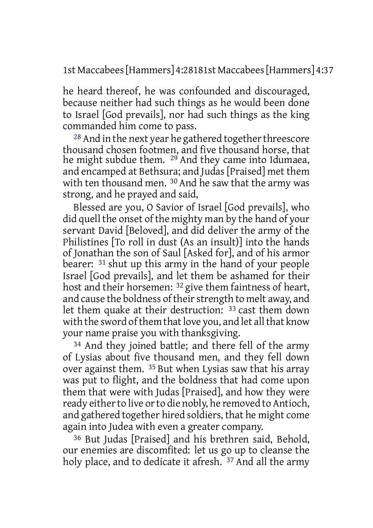1st Maccabees[Hammers] 4:28181st Maccabees[Hammers] 4:37

he heard thereof, he was confounded and discouraged, because neither had such things as he would been done to Israel [God prevails], nor had such things as the king commanded him come to pass.

 $28$  And in the next year he gathered together threescore thousand chosen footmen, and five thousand horse, that he might subdue them. <sup>29</sup> And they came into Idumaea, and encamped at Bethsura; and Judas [Praised] met them with ten thousand men. <sup>30</sup> And he saw that the army was strong, and he prayed and said,

Blessed are you, O Savior of Israel [God prevails], who did quell the onset of the mighty man by the hand of your servant David [Beloved], and did deliver the army of the Philistines [To roll in dust (As an insult)] into the hands of Jonathan the son of Saul [Asked for], and of his armor bearer: 31 shut up this army in the hand of your people Israel [God prevails], and let them be ashamed for their host and their horsemen: <sup>32</sup> give them faintness of heart. and cause the boldness of their strength to melt away, and let them quake at their destruction: 33 cast them down with the sword of them that love you, and let all that know your name praise you with thanksgiving.

34 And they joined battle; and there fell of the army of Lysias about five thousand men, and they fell down over against them. 35 But when Lysias saw that his array was put to flight, and the boldness that had come upon them that were with Judas [Praised], and how they were ready either to live or to die nobly, he removed to Antioch, and gathered together hired soldiers, that he might come again into Judea with even a greater company.

36 But Judas [Praised] and his brethren said, Behold, our enemies are discomfited: let us go up to cleanse the holy place, and to dedicate it afresh. <sup>37</sup> And all the army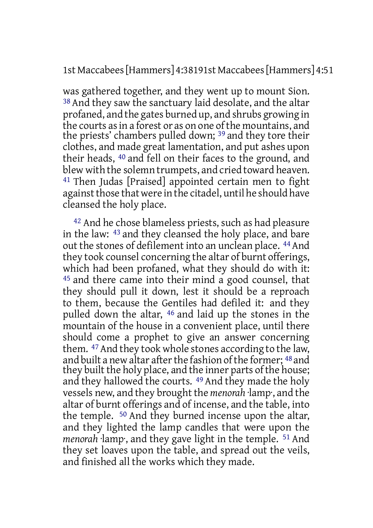1st Maccabees[Hammers] 4:38191st Maccabees[Hammers] 4:51

was gathered together, and they went up to mount Sion. 38 And they saw the sanctuary laid desolate, and the altar profaned, and the gates burned up, and shrubs growing in the courts asin a forest or as on one ofthe mountains, and the priests' chambers pulled down; 39 and they tore their clothes, and made great lamentation, and put ashes upon their heads, 40 and fell on their faces to the ground, and blew with the solemn trumpets, and cried toward heaven. 41 Then Judas [Praised] appointed certain men to fight against those that were in the citadel, until he should have cleansed the holy place.

42 And he chose blameless priests, such as had pleasure in the law: 43 and they cleansed the holy place, and bare out the stones of defilement into an unclean place. <sup>44</sup> And they took counsel concerning the altar of burnt offerings, which had been profaned, what they should do with it: 45 and there came into their mind a good counsel, that they should pull it down, lest it should be a reproach to them, because the Gentiles had defiled it: and they pulled down the altar, 46 and laid up the stones in the mountain of the house in a convenient place, until there should come a prophet to give an answer concerning them. <sup>47</sup> And they took whole stones according to the law, and built a new altar after the fashion of the former; 48 and they built the holy place, and the inner parts of the house; and they hallowed the courts. 49 And they made the holy vessels new, and they brought the *menorah* ·lamp·, and the altar of burnt offerings and of incense, and the table, into the temple. 50 And they burned incense upon the altar, and they lighted the lamp candles that were upon the *menorah* ·lamp·, and they gave light in the temple. 51 And they set loaves upon the table, and spread out the veils, and finished all the works which they made.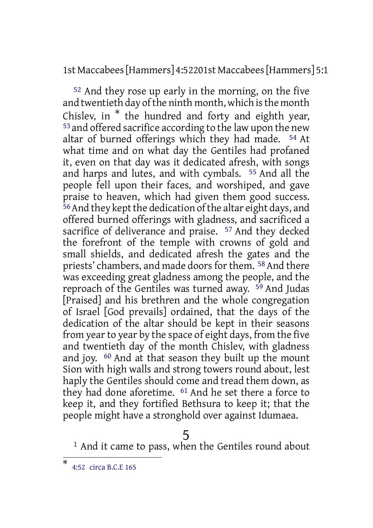1st Maccabees[Hammers] 4:52201st Maccabees[Hammers] 5:1

52 And they rose up early in the morning, on the five and twentieth day of the ninth month, which is the month Chislev, in \* the hundred and forty and eighth year, 53 and offered sacrifice according to the law upon the new altar of burned offerings which they had made. 54 At what time and on what day the Gentiles had profaned it, even on that day was it dedicated afresh, with songs and harps and lutes, and with cymbals. 55 And all the people fell upon their faces, and worshiped, and gave praise to heaven, which had given them good success. 56And they keptthe dedication ofthe altar eight days, and offered burned offerings with gladness, and sacrificed a sacrifice of deliverance and praise. <sup>57</sup> And they decked the forefront of the temple with crowns of gold and small shields, and dedicated afresh the gates and the priests' chambers, and made doors for them. <sup>58</sup> And there was exceeding great gladness among the people, and the reproach of the Gentiles was turned away. 59 And Judas [Praised] and his brethren and the whole congregation of Israel [God prevails] ordained, that the days of the dedication of the altar should be kept in their seasons from year to year by the space of eight days, from the five and twentieth day of the month Chislev, with gladness and joy. 60 And at that season they built up the mount Sion with high walls and strong towers round about, lest haply the Gentiles should come and tread them down, as they had done aforetime. <sup>61</sup> And he set there a force to keep it, and they fortified Bethsura to keep it; that the people might have a stronghold over against Idumaea.

# 5

<sup>1</sup> And it came to pass, when the Gentiles round about

<sup>\*</sup> 4:52 circa B.C.E 165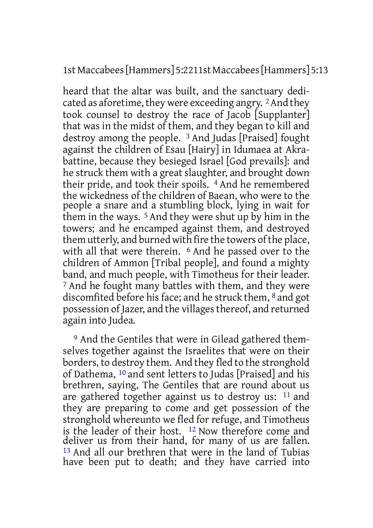1st Maccabees[Hammers] 5:2211st Maccabees[Hammers] 5:13

heard that the altar was built, and the sanctuary dedicated as aforetime, they were exceeding angry. 2And they took counsel to destroy the race of Jacob [Supplanter] that was in the midst of them, and they began to kill and destroy among the people. 3 And Judas [Praised] fought against the children of Esau [Hairy] in Idumaea at Akrabattine, because they besieged Israel [God prevails]: and he struck them with a great slaughter, and brought down their pride, and took their spoils. 4 And he remembered the wickedness of the children of Baean, who were to the people a snare and a stumbling block, lying in wait for them in the ways. 5 And they were shut up by him in the towers; and he encamped against them, and destroyed them utterly, and burned with fire the towers of the place, with all that were therein. <sup>6</sup> And he passed over to the children of Ammon [Tribal people], and found a mighty band, and much people, with Timotheus for their leader. 7 And he fought many battles with them, and they were discomfited before his face; and he struck them, 8 and got possession of Jazer, and the villages thereof, and returned again into Judea.

9 And the Gentiles that were in Gilead gathered themselves together against the Israelites that were on their borders, to destroy them. And they fled to the stronghold of Dathema, 10 and sent letters to Judas [Praised] and his brethren, saying, The Gentiles that are round about us are gathered together against us to destroy us: 11 and they are preparing to come and get possession of the stronghold whereunto we fled for refuge, and Timotheus is the leader of their host. 12 Now therefore come and deliver us from their hand, for many of us are fallen. 13 And all our brethren that were in the land of Tubias have been put to death; and they have carried into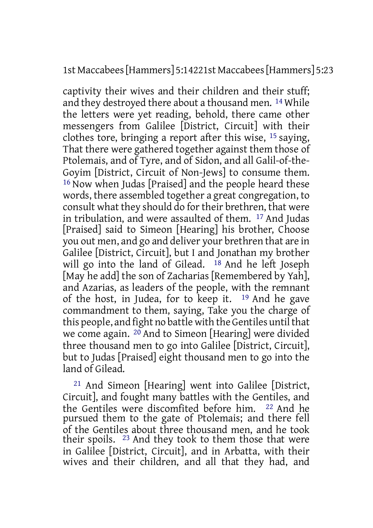1st Maccabees[Hammers] 5:14221st Maccabees[Hammers] 5:23

captivity their wives and their children and their stuff; and they destroyed there about a thousand men. 14 While the letters were yet reading, behold, there came other messengers from Galilee [District, Circuit] with their clothes tore, bringing a report after this wise, 15 saying, That there were gathered together against them those of Ptolemais, and of Tyre, and of Sidon, and all Galil-of-the-Goyim [District, Circuit of Non-Jews] to consume them. 16 Now when Judas [Praised] and the people heard these words, there assembled together a great congregation, to consult what they should do for their brethren, that were in tribulation, and were assaulted of them. 17 And Judas [Praised] said to Simeon [Hearing] his brother, Choose you out men, and go and deliver your brethren that are in Galilee [District, Circuit], but I and Jonathan my brother will go into the land of Gilead. 18 And he left Joseph [May he add] the son of Zacharias [Remembered by Yah], and Azarias, as leaders of the people, with the remnant of the host, in Judea, for to keep it. 19 And he gave commandment to them, saying, Take you the charge of this people, and fight no battle with the Gentiles until that we come again. 20 And to Simeon [Hearing] were divided three thousand men to go into Galilee [District, Circuit], but to Judas [Praised] eight thousand men to go into the land of Gilead.

21 And Simeon [Hearing] went into Galilee [District, Circuit], and fought many battles with the Gentiles, and the Gentiles were discomfited before him. 22 And he pursued them to the gate of Ptolemais; and there fell of the Gentiles about three thousand men, and he took their spoils. 23 And they took to them those that were in Galilee [District, Circuit], and in Arbatta, with their wives and their children, and all that they had, and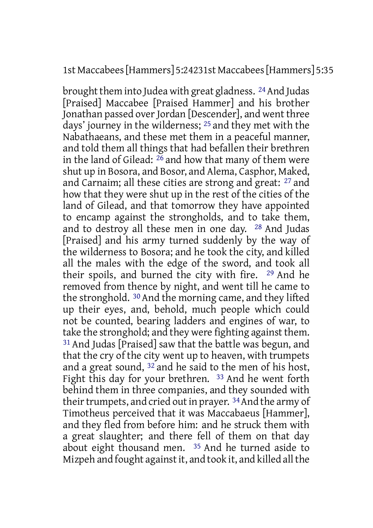## 1st Maccabees[Hammers] 5:24231st Maccabees[Hammers] 5:35

brought them into Judea with great gladness. <sup>24</sup> And Judas [Praised] Maccabee [Praised Hammer] and his brother Jonathan passed over Jordan [Descender], and went three days' journey in the wilderness; 25 and they met with the Nabathaeans, and these met them in a peaceful manner, and told them all things that had befallen their brethren in the land of Gilead:  $^{26}$  and how that many of them were shut up in Bosora, and Bosor, and Alema, Casphor, Maked, and Carnaim; all these cities are strong and great: 27 and how that they were shut up in the rest of the cities of the land of Gilead, and that tomorrow they have appointed to encamp against the strongholds, and to take them, and to destroy all these men in one day. 28 And Judas [Praised] and his army turned suddenly by the way of the wilderness to Bosora; and he took the city, and killed all the males with the edge of the sword, and took all their spoils, and burned the city with fire. 29 And he removed from thence by night, and went till he came to the stronghold. 30 And the morning came, and they lifted up their eyes, and, behold, much people which could not be counted, bearing ladders and engines of war, to take the stronghold; and they were fighting against them. 31 And Judas [Praised] saw that the battle was begun, and that the cry of the city went up to heaven, with trumpets and a great sound, 32 and he said to the men of his host, Fight this day for your brethren. <sup>33</sup> And he went forth behind them in three companies, and they sounded with their trumpets, and cried out in prayer. <sup>34</sup> And the army of Timotheus perceived that it was Maccabaeus [Hammer], and they fled from before him: and he struck them with a great slaughter; and there fell of them on that day about eight thousand men. 35 And he turned aside to Mizpeh and fought against it, and took it, and killed all the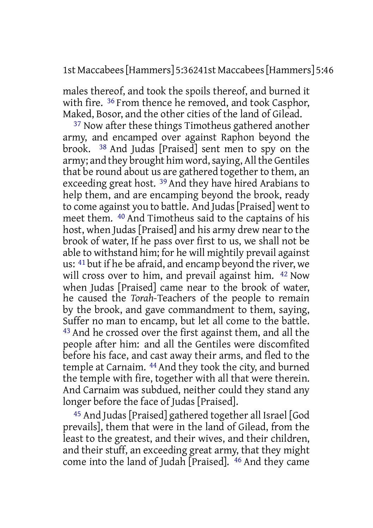1st Maccabees[Hammers] 5:36241st Maccabees[Hammers] 5:46

males thereof, and took the spoils thereof, and burned it with fire. <sup>36</sup> From thence he removed, and took Casphor, Maked, Bosor, and the other cities of the land of Gilead.

37 Now after these things Timotheus gathered another army, and encamped over against Raphon beyond the brook. 38 And Judas [Praised] sent men to spy on the army; and they brought him word, saying, All the Gentiles that be round about us are gathered together to them, an exceeding great host. 39 And they have hired Arabians to help them, and are encamping beyond the brook, ready to come against you to battle. And Judas[Praised] went to meet them. 40 And Timotheus said to the captains of his host, when Judas [Praised] and his army drew near to the brook of water, If he pass over first to us, we shall not be able to withstand him; for he will mightily prevail against us: 41 but if he be afraid, and encamp beyond the river, we will cross over to him, and prevail against him. <sup>42</sup> Now when Judas [Praised] came near to the brook of water, he caused the *Torah*-Teachers of the people to remain by the brook, and gave commandment to them, saying, Suffer no man to encamp, but let all come to the battle. 43 And he crossed over the first against them, and all the people after him: and all the Gentiles were discomfited before his face, and cast away their arms, and fled to the temple at Carnaim. 44 And they took the city, and burned the temple with fire, together with all that were therein. And Carnaim was subdued, neither could they stand any longer before the face of Judas [Praised].

45 And Judas [Praised] gathered together all Israel [God prevails], them that were in the land of Gilead, from the least to the greatest, and their wives, and their children, and their stuff, an exceeding great army, that they might come into the land of Judah [Praised]. 46 And they came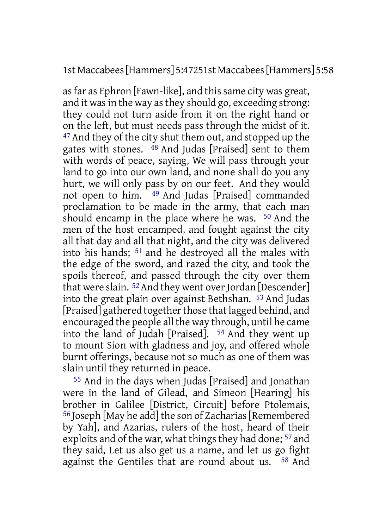1st Maccabees[Hammers] 5:47251st Maccabees[Hammers] 5:58

as far as Ephron [Fawn-like], and this same city was great, and it was in the way as they should go, exceeding strong: they could not turn aside from it on the right hand or on the left, but must needs pass through the midst of it. 47 And they of the city shut them out, and stopped up the gates with stones. 48 And Judas [Praised] sent to them with words of peace, saying, We will pass through your land to go into our own land, and none shall do you any hurt, we will only pass by on our feet. And they would not open to him. 49 And Judas [Praised] commanded proclamation to be made in the army, that each man should encamp in the place where he was. 50 And the men of the host encamped, and fought against the city all that day and all that night, and the city was delivered into his hands; 51 and he destroyed all the males with the edge of the sword, and razed the city, and took the spoils thereof, and passed through the city over them that were slain.  $52$  And they went over Jordan [Descender] into the great plain over against Bethshan. 53 And Judas [Praised] gathered together those that lagged behind, and encouraged the people all the way through, until he came into the land of Judah [Praised]. 54 And they went up to mount Sion with gladness and joy, and offered whole burnt offerings, because not so much as one of them was slain until they returned in peace.

55 And in the days when Judas [Praised] and Jonathan were in the land of Gilead, and Simeon [Hearing] his brother in Galilee [District, Circuit] before Ptolemais, <sup>56</sup> Joseph [May he add] the son of Zacharias [Remembered] by Yah], and Azarias, rulers of the host, heard of their exploits and of the war, what things they had done; <sup>57</sup> and they said, Let us also get us a name, and let us go fight against the Gentiles that are round about us. 58 And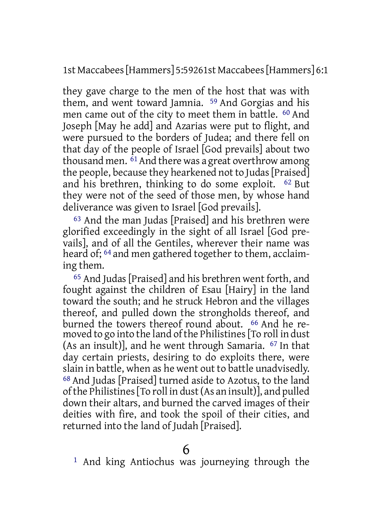1st Maccabees[Hammers] 5:59261st Maccabees[Hammers] 6:1

they gave charge to the men of the host that was with them, and went toward Jamnia. 59 And Gorgias and his men came out of the city to meet them in battle. 60 And Joseph [May he add] and Azarias were put to flight, and were pursued to the borders of Judea; and there fell on that day of the people of Israel [God prevails] about two thousand men.  $\overline{61}$  And there was a great overthrow among the people, because they hearkened not to Judas [Praised] and his brethren, thinking to do some exploit. 62 But they were not of the seed of those men, by whose hand deliverance was given to Israel [God prevails].

63 And the man Judas [Praised] and his brethren were glorified exceedingly in the sight of all Israel [God prevails], and of all the Gentiles, wherever their name was heard of; 64 and men gathered together to them, acclaiming them.

65 And Judas[Praised] and his brethren went forth, and fought against the children of Esau [Hairy] in the land toward the south; and he struck Hebron and the villages thereof, and pulled down the strongholds thereof, and burned the towers thereof round about. 66 And he removed to go into the land of the Philistines [To roll in dust] (As an insult)], and he went through Samaria. 67 In that day certain priests, desiring to do exploits there, were slain in battle, when as he went out to battle unadvisedly. 68 And Judas [Praised] turned aside to Azotus, to the land ofthe Philistines[To roll in dust(As an insult)], and pulled down their altars, and burned the carved images of their deities with fire, and took the spoil of their cities, and returned into the land of Judah [Praised].

1 And king Antiochus was journeying through the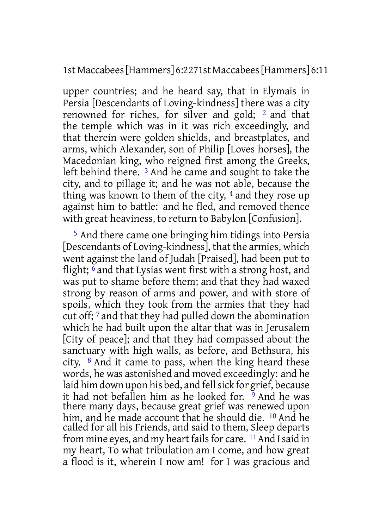1st Maccabees[Hammers] 6:2271st Maccabees[Hammers] 6:11

upper countries; and he heard say, that in Elymais in Persia [Descendants of Loving-kindness] there was a city renowned for riches, for silver and gold; 2 and that the temple which was in it was rich exceedingly, and that therein were golden shields, and breastplates, and arms, which Alexander, son of Philip [Loves horses], the Macedonian king, who reigned first among the Greeks, left behind there. 3 And he came and sought to take the city, and to pillage it; and he was not able, because the thing was known to them of the city, 4 and they rose up against him to battle: and he fled, and removed thence with great heaviness, to return to Babylon [Confusion].

5 And there came one bringing him tidings into Persia [Descendants of Loving-kindness], that the armies, which went against the land of Judah [Praised], had been put to flight;  $\delta$  and that Lysias went first with a strong host, and was put to shame before them; and that they had waxed strong by reason of arms and power, and with store of spoils, which they took from the armies that they had cut off; 7 and that they had pulled down the abomination which he had built upon the altar that was in Jerusalem [City of peace]; and that they had compassed about the sanctuary with high walls, as before, and Bethsura, his city. 8 And it came to pass, when the king heard these words, he was astonished and moved exceedingly: and he laid him down upon his bed, and fell sick for grief, because it had not befallen him as he looked for. 9 And he was there many days, because great grief was renewed upon him, and he made account that he should die. 10 And he called for all his Friends, and said to them, Sleep departs from mine eyes, and my heart fails for care. <sup>11</sup> And I said in my heart, To what tribulation am I come, and how great a flood is it, wherein I now am! for I was gracious and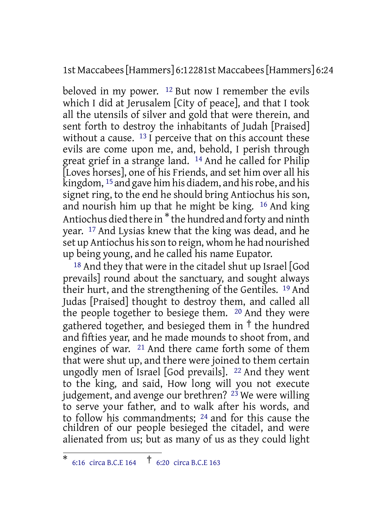1st Maccabees[Hammers] 6:12281st Maccabees[Hammers] 6:24

beloved in my power.  $12$  But now I remember the evils which I did at Jerusalem [City of peace], and that I took all the utensils of silver and gold that were therein, and sent forth to destroy the inhabitants of Judah [Praised] without a cause. <sup>13</sup> I perceive that on this account these evils are come upon me, and, behold, I perish through great grief in a strange land. 14 And he called for Philip [Loves horses], one of his Friends, and set him over all his kingdom, <sup>15</sup> and gave him his diadem, and his robe, and his signet ring, to the end he should bring Antiochus his son, and nourish him up that he might be king. 16 And king Antiochus died there in \* the hundred and forty and ninth year. 17 And Lysias knew that the king was dead, and he set up Antiochus his son to reign, whom he had nourished up being young, and he called his name Eupator.

18 And they that were in the citadel shut up Israel [God prevails] round about the sanctuary, and sought always their hurt, and the strengthening of the Gentiles. 19 And Judas [Praised] thought to destroy them, and called all the people together to besiege them. 20 And they were gathered together, and besieged them in  $\dagger$  the hundred and fifties year, and he made mounds to shoot from, and engines of war. 21 And there came forth some of them that were shut up, and there were joined to them certain ungodly men of Israel [God prevails]. 22 And they went to the king, and said, How long will you not execute judgement, and avenge our brethren?  $23$  We were willing to serve your father, and to walk after his words, and to follow his commandments; 24 and for this cause the children of our people besieged the citadel, and were alienated from us; but as many of us as they could light

<sup>\*</sup> 6:16 circa B.C.E <sup>164</sup> † 6:20 circa B.C.E <sup>163</sup>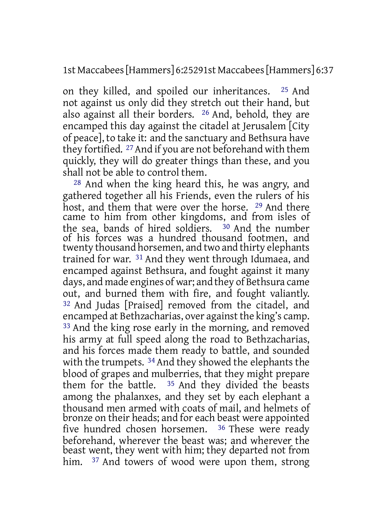1st Maccabees[Hammers] 6:25291st Maccabees[Hammers] 6:37

on they killed, and spoiled our inheritances. 25 And not against us only did they stretch out their hand, but also against all their borders. 26 And, behold, they are encamped this day against the citadel at Jerusalem [City of peace], to take it: and the sanctuary and Bethsura have they fortified. 27And if you are not beforehand with them quickly, they will do greater things than these, and you shall not be able to control them.

28 And when the king heard this, he was angry, and gathered together all his Friends, even the rulers of his host, and them that were over the horse. 29 And there came to him from other kingdoms, and from isles of the sea, bands of hired soldiers. 30 And the number of his forces was a hundred thousand footmen, and twenty thousand horsemen, and two and thirty elephants trained for war. 31 And they went through Idumaea, and encamped against Bethsura, and fought against it many days, and made engines of war; and they of Bethsura came out, and burned them with fire, and fought valiantly. 32 And Judas [Praised] removed from the citadel, and encamped at Bethzacharias, over against the king's camp. 33 And the king rose early in the morning, and removed his army at full speed along the road to Bethzacharias, and his forces made them ready to battle, and sounded with the trumpets. <sup>34</sup> And they showed the elephants the blood of grapes and mulberries, that they might prepare them for the battle. 35 And they divided the beasts among the phalanxes, and they set by each elephant a thousand men armed with coats of mail, and helmets of bronze on their heads; and for each beast were appointed five hundred chosen horsemen. 36 These were ready beforehand, wherever the beast was; and wherever the beast went, they went with him; they departed not from him. <sup>37</sup> And towers of wood were upon them, strong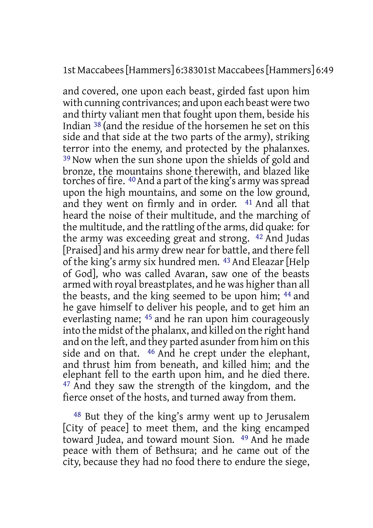1st Maccabees[Hammers] 6:38301st Maccabees[Hammers] 6:49

and covered, one upon each beast, girded fast upon him with cunning contrivances; and upon each beast were two and thirty valiant men that fought upon them, beside his Indian 38 (and the residue of the horsemen he set on this side and that side at the two parts of the army), striking terror into the enemy, and protected by the phalanxes. <sup>39</sup> Now when the sun shone upon the shields of gold and bronze, the mountains shone therewith, and blazed like torches of fire. <sup>40</sup> And a part of the king's army was spread upon the high mountains, and some on the low ground, and they went on firmly and in order. 41 And all that heard the noise of their multitude, and the marching of the multitude, and the rattling of the arms, did quake: for the army was exceeding great and strong. 42 And Judas [Praised] and his army drew near for battle, and there fell of the king's army six hundred men. 43 And Eleazar [Help of God], who was called Avaran, saw one of the beasts armed with royal breastplates, and he was higher than all the beasts, and the king seemed to be upon him; 44 and he gave himself to deliver his people, and to get him an everlasting name; 45 and he ran upon him courageously into the midst of the phalanx, and killed on the right hand and on the left, and they parted asunder from him on this side and on that. 46 And he crept under the elephant, and thrust him from beneath, and killed him; and the elephant fell to the earth upon him, and he died there. 47 And they saw the strength of the kingdom, and the fierce onset of the hosts, and turned away from them.

48 But they of the king's army went up to Jerusalem [City of peace] to meet them, and the king encamped toward Judea, and toward mount Sion. 49 And he made peace with them of Bethsura; and he came out of the city, because they had no food there to endure the siege,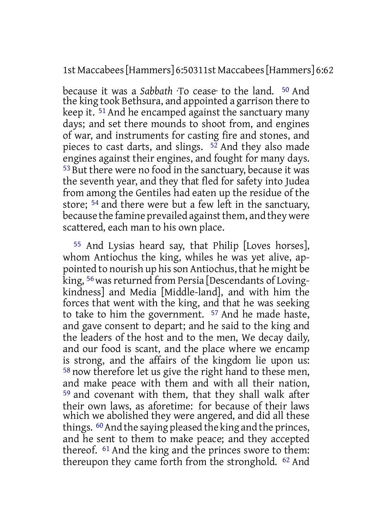1st Maccabees[Hammers] 6:50311st Maccabees[Hammers] 6:62

because it was a *Sabbath* ·To cease· to the land. 50 And the king took Bethsura, and appointed a garrison there to keep it. 51 And he encamped against the sanctuary many days; and set there mounds to shoot from, and engines of war, and instruments for casting fire and stones, and pieces to cast darts, and slings.  $5\overline{2}$  And they also made engines against their engines, and fought for many days. 53 But there were no food in the sanctuary, because it was the seventh year, and they that fled for safety into Judea from among the Gentiles had eaten up the residue of the store; 54 and there were but a few left in the sanctuary, because the famine prevailed against them, and they were scattered, each man to his own place.

55 And Lysias heard say, that Philip [Loves horses], whom Antiochus the king, whiles he was yet alive, appointed to nourish up hisson Antiochus, that he might be king, <sup>56</sup> was returned from Persia [Descendants of Lovingkindness] and Media [Middle-land], and with him the forces that went with the king, and that he was seeking to take to him the government. 57 And he made haste, and gave consent to depart; and he said to the king and the leaders of the host and to the men, We decay daily, and our food is scant, and the place where we encamp is strong, and the affairs of the kingdom lie upon us: 58 now therefore let us give the right hand to these men, and make peace with them and with all their nation, 59 and covenant with them, that they shall walk after their own laws, as aforetime: for because of their laws which we abolished they were angered, and did all these things. <sup>60</sup> And the saying pleased the king and the princes, and he sent to them to make peace; and they accepted thereof. 61 And the king and the princes swore to them: thereupon they came forth from the stronghold. 62 And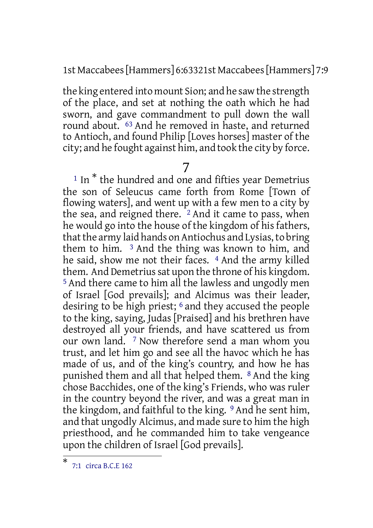1st Maccabees[Hammers] 6:63321st Maccabees[Hammers] 7:9

the king entered into mount Sion; and he saw the strength of the place, and set at nothing the oath which he had sworn, and gave commandment to pull down the wall round about. 63 And he removed in haste, and returned to Antioch, and found Philip [Loves horses] master of the city; and he fought against him, and took the city by force.

# 7

<sup>1</sup> In \* the hundred and one and fifties year Demetrius the son of Seleucus came forth from Rome [Town of flowing waters], and went up with a few men to a city by the sea, and reigned there. <sup>2</sup> And it came to pass, when he would go into the house of the kingdom of his fathers, that the army laid hands on Antiochus and Lysias, to bring them to him. 3 And the thing was known to him, and he said, show me not their faces. <sup>4</sup> And the army killed them. And Demetrius sat upon the throne of his kingdom. 5 And there came to him all the lawless and ungodly men of Israel [God prevails]; and Alcimus was their leader, desiring to be high priest; 6 and they accused the people to the king, saying, Judas [Praised] and his brethren have destroyed all your friends, and have scattered us from our own land. 7 Now therefore send a man whom you trust, and let him go and see all the havoc which he has made of us, and of the king's country, and how he has punished them and all that helped them. 8 And the king chose Bacchides, one of the king's Friends, who was ruler in the country beyond the river, and was a great man in the kingdom, and faithful to the king. 9 And he sent him, and that ungodly Alcimus, and made sure to him the high priesthood, and he commanded him to take vengeance upon the children of Israel [God prevails].

<sup>\*</sup> 7:1 circa B.C.E 162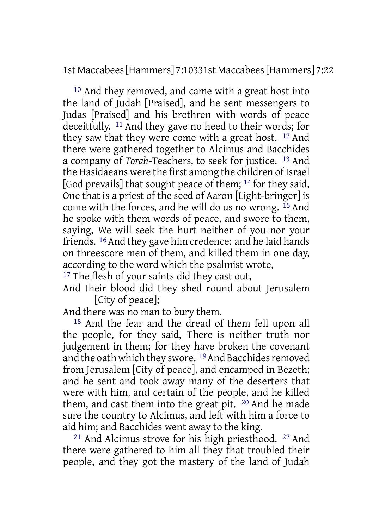1st Maccabees[Hammers] 7:10331st Maccabees[Hammers] 7:22

10 And they removed, and came with a great host into the land of Judah [Praised], and he sent messengers to Judas [Praised] and his brethren with words of peace deceitfully. 11 And they gave no heed to their words; for they saw that they were come with a great host. 12 And there were gathered together to Alcimus and Bacchides a company of *Torah*-Teachers, to seek for justice. 13 And the Hasidaeans were the first among the children of Israel [God prevails] that sought peace of them; 14 for they said, One that is a priest of the seed of Aaron [Light-bringer] is come with the forces, and he will do us no wrong. 15 And he spoke with them words of peace, and swore to them, saying, We will seek the hurt neither of you nor your friends. 16And they gave him credence: and he laid hands on threescore men of them, and killed them in one day, according to the word which the psalmist wrote,

<sup>17</sup> The flesh of your saints did they cast out,

And their blood did they shed round about Jerusalem [City of peace];

And there was no man to bury them.

18 And the fear and the dread of them fell upon all the people, for they said, There is neither truth nor judgement in them; for they have broken the covenant and the oath which they swore. <sup>19</sup> And Bacchides removed from Jerusalem [City of peace], and encamped in Bezeth; and he sent and took away many of the deserters that were with him, and certain of the people, and he killed them, and cast them into the great pit. 20 And he made sure the country to Alcimus, and left with him a force to aid him; and Bacchides went away to the king.

21 And Alcimus strove for his high priesthood. 22 And there were gathered to him all they that troubled their people, and they got the mastery of the land of Judah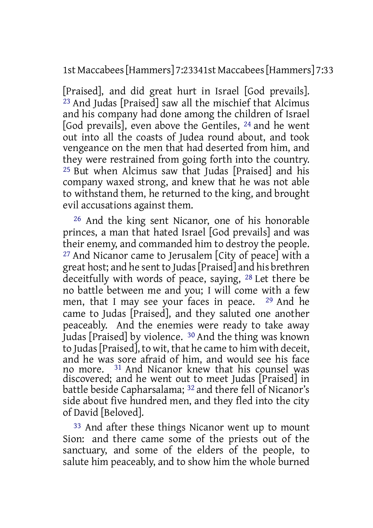1st Maccabees[Hammers] 7:23341st Maccabees[Hammers] 7:33

[Praised], and did great hurt in Israel [God prevails]. 23 And Judas [Praised] saw all the mischief that Alcimus and his company had done among the children of Israel [God prevails], even above the Gentiles, 24 and he went out into all the coasts of Judea round about, and took vengeance on the men that had deserted from him, and they were restrained from going forth into the country. 25 But when Alcimus saw that Judas [Praised] and his company waxed strong, and knew that he was not able to withstand them, he returned to the king, and brought evil accusations against them.

26 And the king sent Nicanor, one of his honorable princes, a man that hated Israel [God prevails] and was their enemy, and commanded him to destroy the people. 27 And Nicanor came to Jerusalem [City of peace] with a great host; and he sent to Judas[Praised] and his brethren deceitfully with words of peace, saying, 28 Let there be no battle between me and you; I will come with a few men, that I may see your faces in peace. 29 And he came to Judas [Praised], and they saluted one another peaceably. And the enemies were ready to take away Judas [Praised] by violence. 30 And the thing was known to Judas[Praised], to wit, that he came to him with deceit, and he was sore afraid of him, and would see his face no more. 31 And Nicanor knew that his counsel was discovered; and he went out to meet Judas [Praised] in battle beside Capharsalama; 32 and there fell of Nicanor's side about five hundred men, and they fled into the city of David [Beloved].

33 And after these things Nicanor went up to mount Sion: and there came some of the priests out of the sanctuary, and some of the elders of the people, to salute him peaceably, and to show him the whole burned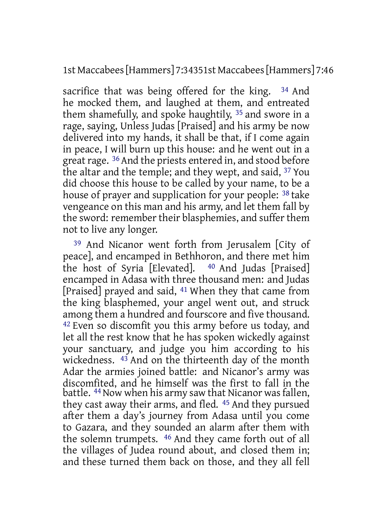1st Maccabees[Hammers] 7:34351st Maccabees[Hammers] 7:46

sacrifice that was being offered for the king. <sup>34</sup> And he mocked them, and laughed at them, and entreated them shamefully, and spoke haughtily, 35 and swore in a rage, saying, Unless Judas [Praised] and his army be now delivered into my hands, it shall be that, if I come again in peace, I will burn up this house: and he went out in a great rage. <sup>36</sup> And the priests entered in, and stood before the altar and the temple; and they wept, and said, 37 You did choose this house to be called by your name, to be a house of prayer and supplication for your people: 38 take vengeance on this man and his army, and let them fall by the sword: remember their blasphemies, and suffer them not to live any longer.

39 And Nicanor went forth from Jerusalem [City of peace], and encamped in Bethhoron, and there met him the host of Syria [Elevated]. 40 And Judas [Praised] encamped in Adasa with three thousand men: and Judas [Praised] prayed and said, 41 When they that came from the king blasphemed, your angel went out, and struck among them a hundred and fourscore and five thousand. 42 Even so discomfit you this army before us today, and let all the rest know that he has spoken wickedly against your sanctuary, and judge you him according to his wickedness. <sup>43</sup> And on the thirteenth day of the month Adar the armies joined battle: and Nicanor's army was discomfited, and he himself was the first to fall in the battle. <sup>44</sup> Now when his army saw that Nicanor was fallen, they cast away their arms, and fled. 45 And they pursued after them a day's journey from Adasa until you come to Gazara, and they sounded an alarm after them with the solemn trumpets. 46 And they came forth out of all the villages of Judea round about, and closed them in; and these turned them back on those, and they all fell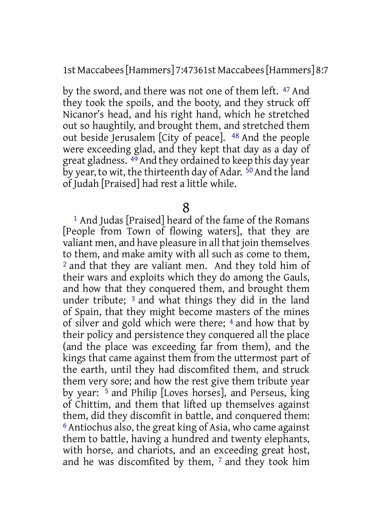1st Maccabees[Hammers] 7:47361st Maccabees[Hammers] 8:7

by the sword, and there was not one of them left. 47 And they took the spoils, and the booty, and they struck off Nicanor's head, and his right hand, which he stretched out so haughtily, and brought them, and stretched them out beside Jerusalem [City of peace]. 48 And the people were exceeding glad, and they kept that day as a day of great gladness. 49And they ordained to keep this day year by year, to wit, the thirteenth day of Adar. <sup>50</sup> And the land of Judah [Praised] had rest a little while.

8

1 And Judas [Praised] heard of the fame of the Romans [People from Town of flowing waters], that they are valiant men, and have pleasure in all that join themselves to them, and make amity with all such as come to them, 2 and that they are valiant men. And they told him of their wars and exploits which they do among the Gauls, and how that they conquered them, and brought them under tribute; 3 and what things they did in the land of Spain, that they might become masters of the mines of silver and gold which were there; 4 and how that by their policy and persistence they conquered all the place (and the place was exceeding far from them), and the kings that came against them from the uttermost part of the earth, until they had discomfited them, and struck them very sore; and how the rest give them tribute year by year: 5 and Philip [Loves horses], and Perseus, king of Chittim, and them that lifted up themselves against them, did they discomfit in battle, and conquered them: 6 Antiochus also, the great king of Asia, who came against them to battle, having a hundred and twenty elephants, with horse, and chariots, and an exceeding great host, and he was discomfited by them, 7 and they took him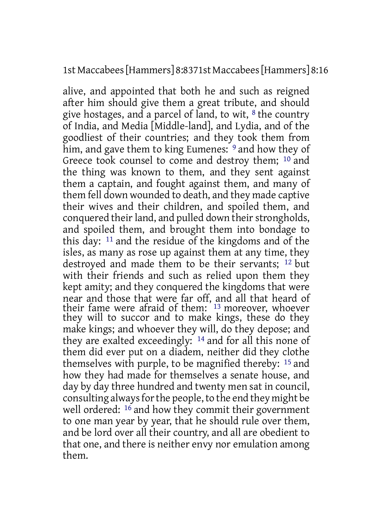1st Maccabees[Hammers] 8:8371st Maccabees[Hammers] 8:16

alive, and appointed that both he and such as reigned after him should give them a great tribute, and should give hostages, and a parcel of land, to wit, 8 the country of India, and Media [Middle-land], and Lydia, and of the goodliest of their countries; and they took them from him, and gave them to king Eumenes: <sup>9</sup> and how they of Greece took counsel to come and destroy them; 10 and the thing was known to them, and they sent against them a captain, and fought against them, and many of them fell down wounded to death, and they made captive their wives and their children, and spoiled them, and conquered their land, and pulled down their strongholds, and spoiled them, and brought them into bondage to this day: 11 and the residue of the kingdoms and of the isles, as many as rose up against them at any time, they destroyed and made them to be their servants; 12 but with their friends and such as relied upon them they kept amity; and they conquered the kingdoms that were near and those that were far off, and all that heard of their fame were afraid of them: <sup>13</sup> moreover, whoever they will to succor and to make kings, these do they make kings; and whoever they will, do they depose; and they are exalted exceedingly: 14 and for all this none of them did ever put on a diadem, neither did they clothe themselves with purple, to be magnified thereby: 15 and how they had made for themselves a senate house, and day by day three hundred and twenty men sat in council, consulting always for the people, to the end they might be well ordered: <sup>16</sup> and how they commit their government to one man year by year, that he should rule over them, and be lord over all their country, and all are obedient to that one, and there is neither envy nor emulation among them.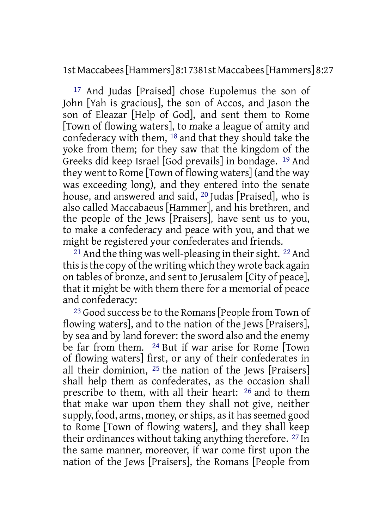1st Maccabees[Hammers] 8:17381st Maccabees[Hammers] 8:27

17 And Judas [Praised] chose Eupolemus the son of John [Yah is gracious], the son of Accos, and Jason the son of Eleazar [Help of God], and sent them to Rome [Town of flowing waters], to make a league of amity and confederacy with them, 18 and that they should take the yoke from them; for they saw that the kingdom of the Greeks did keep Israel [God prevails] in bondage. 19 And they went to Rome [Town of flowing waters] (and the way was exceeding long), and they entered into the senate house, and answered and said, 20 Judas [Praised], who is also called Maccabaeus [Hammer], and his brethren, and the people of the Jews [Praisers], have sent us to you, to make a confederacy and peace with you, and that we might be registered your confederates and friends.

<sup>21</sup> And the thing was well-pleasing in their sight. <sup>22</sup> And this is the copy of the writing which they wrote back again on tables of bronze, and sent to Jerusalem [City of peace], that it might be with them there for a memorial of peace and confederacy:

23 Good success be to the Romans[People from Town of flowing waters], and to the nation of the Jews [Praisers], by sea and by land forever: the sword also and the enemy be far from them. 24 But if war arise for Rome [Town of flowing waters] first, or any of their confederates in all their dominion, 25 the nation of the Jews [Praisers] shall help them as confederates, as the occasion shall prescribe to them, with all their heart: 26 and to them that make war upon them they shall not give, neither supply, food, arms, money, or ships, as it has seemed good to Rome [Town of flowing waters], and they shall keep their ordinances without taking anything therefore. 27 In the same manner, moreover, if war come first upon the nation of the Jews [Praisers], the Romans [People from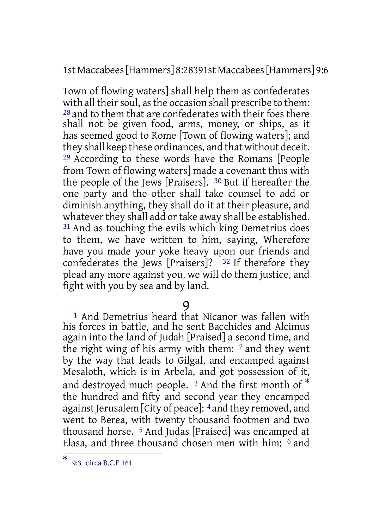1st Maccabees[Hammers] 8:28391st Maccabees[Hammers] 9:6

Town of flowing waters] shall help them as confederates with all their soul, as the occasion shall prescribe to them: 28 and to them that are confederates with their foes there shall not be given food, arms, money, or ships, as it has seemed good to Rome [Town of flowing waters]; and they shall keep these ordinances, and that without deceit. 29 According to these words have the Romans [People from Town of flowing waters] made a covenant thus with the people of the Jews [Praisers]. 30 But if hereafter the one party and the other shall take counsel to add or diminish anything, they shall do it at their pleasure, and whatever they shall add or take away shall be established. 31 And as touching the evils which king Demetrius does to them, we have written to him, saying, Wherefore have you made your yoke heavy upon our friends and confederates the Jews [Praisers]? 32 If therefore they plead any more against you, we will do them justice, and fight with you by sea and by land.

# 9

<sup>1</sup> And Demetrius heard that Nicanor was fallen with his forces in battle, and he sent Bacchides and Alcimus again into the land of Judah [Praised] a second time, and the right wing of his army with them:  $2$  and they went by the way that leads to Gilgal, and encamped against Mesaloth, which is in Arbela, and got possession of it, and destroyed much people. <sup>3</sup> And the first month of \* the hundred and fifty and second year they encamped against Jerusalem [City of peace]: 4 and they removed, and went to Berea, with twenty thousand footmen and two thousand horse. 5 And Judas [Praised] was encamped at Elasa, and three thousand chosen men with him:  $6$  and

<sup>\*</sup> 9:3 circa B.C.E 161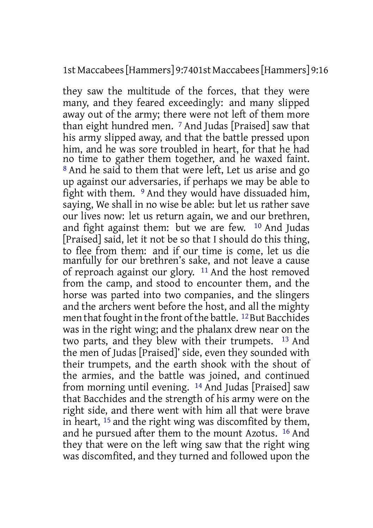1st Maccabees[Hammers] 9:7401st Maccabees[Hammers] 9:16

they saw the multitude of the forces, that they were many, and they feared exceedingly: and many slipped away out of the army; there were not left of them more than eight hundred men. 7 And Judas [Praised] saw that his army slipped away, and that the battle pressed upon him, and he was sore troubled in heart, for that he had no time to gather them together, and he waxed faint. 8 And he said to them that were left, Let us arise and go up against our adversaries, if perhaps we may be able to fight with them. 9 And they would have dissuaded him, saying, We shall in no wise be able: but let us rather save our lives now: let us return again, we and our brethren, and fight against them: but we are few. 10 And Judas [Praised] said, let it not be so that I should do this thing, to flee from them: and if our time is come, let us die manfully for our brethren's sake, and not leave a cause of reproach against our glory. 11 And the host removed from the camp, and stood to encounter them, and the horse was parted into two companies, and the slingers and the archers went before the host, and all the mighty men that fought in the front of the battle. <sup>12</sup> But Bacchides was in the right wing; and the phalanx drew near on the two parts, and they blew with their trumpets. 13 And the men of Judas [Praised]' side, even they sounded with their trumpets, and the earth shook with the shout of the armies, and the battle was joined, and continued from morning until evening. 14 And Judas [Praised] saw that Bacchides and the strength of his army were on the right side, and there went with him all that were brave in heart, 15 and the right wing was discomfited by them, and he pursued after them to the mount Azotus. 16 And they that were on the left wing saw that the right wing was discomfited, and they turned and followed upon the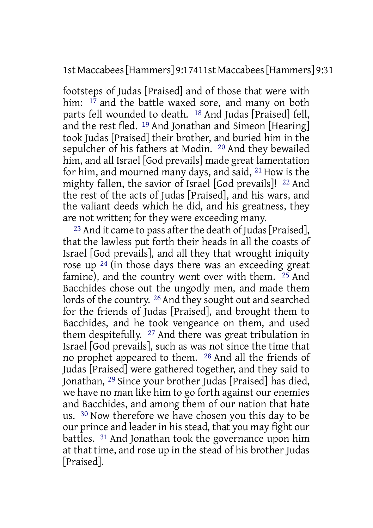1st Maccabees[Hammers] 9:17411st Maccabees[Hammers] 9:31

footsteps of Judas [Praised] and of those that were with him:  $1^{\frac{1}{7}}$  and the battle waxed sore, and many on both parts fell wounded to death. 18 And Judas [Praised] fell, and the rest fled. 19 And Jonathan and Simeon [Hearing] took Judas [Praised] their brother, and buried him in the sepulcher of his fathers at Modin. 20 And they bewailed him, and all Israel [God prevails] made great lamentation for him, and mourned many days, and said, 21 How is the mighty fallen, the savior of Israel [God prevails]! 22 And the rest of the acts of Judas [Praised], and his wars, and the valiant deeds which he did, and his greatness, they are not written; for they were exceeding many.

<sup>23</sup> And it came to pass after the death of Judas [Praised], that the lawless put forth their heads in all the coasts of Israel [God prevails], and all they that wrought iniquity rose up 24 (in those days there was an exceeding great famine), and the country went over with them.  $25$  And Bacchides chose out the ungodly men, and made them lords of the country. 26 And they sought out and searched for the friends of Judas [Praised], and brought them to Bacchides, and he took vengeance on them, and used them despitefully. 27 And there was great tribulation in Israel [God prevails], such as was not since the time that no prophet appeared to them. 28 And all the friends of Judas [Praised] were gathered together, and they said to Jonathan, 29 Since your brother Judas [Praised] has died, we have no man like him to go forth against our enemies and Bacchides, and among them of our nation that hate us. 30 Now therefore we have chosen you this day to be our prince and leader in his stead, that you may fight our battles. 31 And Jonathan took the governance upon him at that time, and rose up in the stead of his brother Judas [Praised].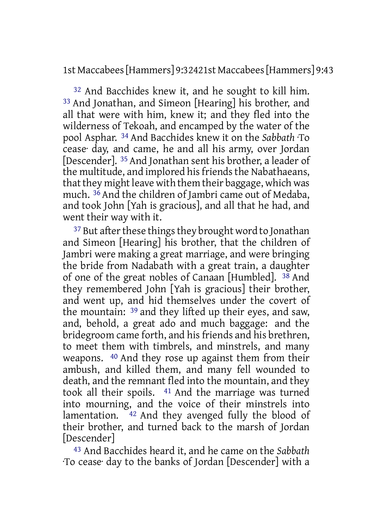1st Maccabees[Hammers] 9:32421st Maccabees[Hammers] 9:43

32 And Bacchides knew it, and he sought to kill him. 33 And Jonathan, and Simeon [Hearing] his brother, and all that were with him, knew it; and they fled into the wilderness of Tekoah, and encamped by the water of the pool Asphar. 34 And Bacchides knew it on the *Sabbath* ·To cease· day, and came, he and all his army, over Jordan [Descender]. 35 And Jonathan sent his brother, a leader of the multitude, and implored his friends the Nabathaeans, that they might leave with them their baggage, which was much. 36 And the children of Jambri came out of Medaba, and took John [Yah is gracious], and all that he had, and went their way with it.

<sup>37</sup> But after these things they brought word to Jonathan and Simeon [Hearing] his brother, that the children of Jambri were making a great marriage, and were bringing the bride from Nadabath with a great train, a daughter of one of the great nobles of Canaan [Humbled]. 38 And they remembered John [Yah is gracious] their brother, and went up, and hid themselves under the covert of the mountain: 39 and they lifted up their eyes, and saw, and, behold, a great ado and much baggage: and the bridegroom came forth, and his friends and his brethren, to meet them with timbrels, and minstrels, and many weapons. 40 And they rose up against them from their ambush, and killed them, and many fell wounded to death, and the remnant fled into the mountain, and they took all their spoils. 41 And the marriage was turned into mourning, and the voice of their minstrels into lamentation.  $42$  And they avenged fully the blood of their brother, and turned back to the marsh of Jordan [Descender]

43 And Bacchides heard it, and he came on the *Sabbath* ·To cease· day to the banks of Jordan [Descender] with a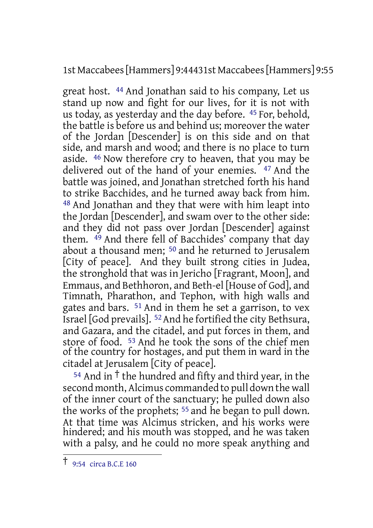1st Maccabees[Hammers] 9:44431st Maccabees[Hammers] 9:55

great host. 44 And Jonathan said to his company, Let us stand up now and fight for our lives, for it is not with us today, as yesterday and the day before. 45 For, behold, the battle is before us and behind us; moreover the water of the Jordan [Descender] is on this side and on that side, and marsh and wood; and there is no place to turn aside. 46 Now therefore cry to heaven, that you may be delivered out of the hand of your enemies. 47 And the battle was joined, and Jonathan stretched forth his hand to strike Bacchides, and he turned away back from him. 48 And Jonathan and they that were with him leapt into the Jordan [Descender], and swam over to the other side: and they did not pass over Jordan [Descender] against them. 49 And there fell of Bacchides' company that day about a thousand men; 50 and he returned to Jerusalem [City of peace]. And they built strong cities in Judea, the stronghold that was in Jericho [Fragrant, Moon], and Emmaus, and Bethhoron, and Beth-el [House of God], and Timnath, Pharathon, and Tephon, with high walls and gates and bars. 51 And in them he set a garrison, to vex Israel [God prevails]. 52And he fortified the city Bethsura, and Gazara, and the citadel, and put forces in them, and store of food. 53 And he took the sons of the chief men of the country for hostages, and put them in ward in the citadel at Jerusalem [City of peace].

 $54$  And in <sup>†</sup> the hundred and fifty and third year, in the second month, Alcimus commanded to pull down the wall of the inner court of the sanctuary; he pulled down also the works of the prophets; 55 and he began to pull down. At that time was Alcimus stricken, and his works were hindered; and his mouth was stopped, and he was taken with a palsy, and he could no more speak anything and

<sup>†</sup> 9:54 circa B.C.E <sup>160</sup>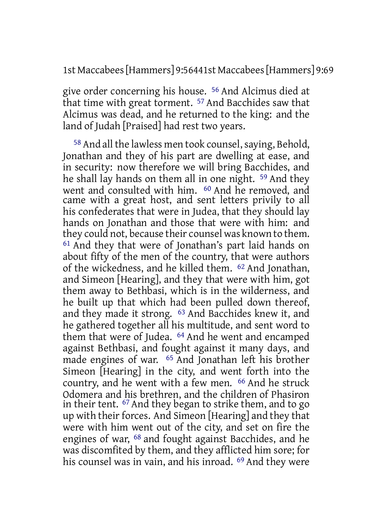1st Maccabees[Hammers] 9:56441st Maccabees[Hammers] 9:69

give order concerning his house. 56 And Alcimus died at that time with great torment. 57 And Bacchides saw that Alcimus was dead, and he returned to the king: and the land of Judah [Praised] had rest two years.

58 And all the lawless men took counsel,saying, Behold, Jonathan and they of his part are dwelling at ease, and in security: now therefore we will bring Bacchides, and he shall lay hands on them all in one night. 59 And they went and consulted with him. 60 And he removed, and came with a great host, and sent letters privily to all his confederates that were in Judea, that they should lay hands on Jonathan and those that were with him: and they could not, because their counsel was known to them. 61 And they that were of Jonathan's part laid hands on about fifty of the men of the country, that were authors of the wickedness, and he killed them. 62 And Jonathan, and Simeon [Hearing], and they that were with him, got them away to Bethbasi, which is in the wilderness, and he built up that which had been pulled down thereof, and they made it strong. 63 And Bacchides knew it, and he gathered together all his multitude, and sent word to them that were of Judea. 64 And he went and encamped against Bethbasi, and fought against it many days, and made engines of war. 65 And Jonathan left his brother Simeon [Hearing] in the city, and went forth into the country, and he went with a few men. 66 And he struck Odomera and his brethren, and the children of Phasiron in their tent. 67 And they began to strike them, and to go up with their forces. And Simeon [Hearing] and they that were with him went out of the city, and set on fire the engines of war, 68 and fought against Bacchides, and he was discomfited by them, and they afflicted him sore; for his counsel was in vain, and his inroad. <sup>69</sup> And they were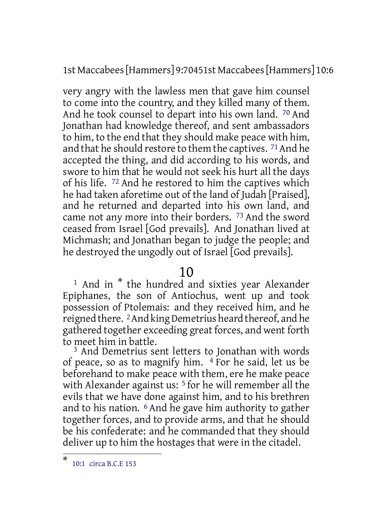1st Maccabees[Hammers] 9:70451st Maccabees[Hammers] 10:6

very angry with the lawless men that gave him counsel to come into the country, and they killed many of them. And he took counsel to depart into his own land. 70 And Jonathan had knowledge thereof, and sent ambassadors to him, to the end that they should make peace with him, and that he should restore to them the captives. <sup>71</sup> And he accepted the thing, and did according to his words, and swore to him that he would not seek his hurt all the days of his life. 72 And he restored to him the captives which he had taken aforetime out of the land of Judah [Praised], and he returned and departed into his own land, and came not any more into their borders. 73 And the sword ceased from Israel [God prevails]. And Jonathan lived at Michmash; and Jonathan began to judge the people; and he destroyed the ungodly out of Israel [God prevails].

#### 10

<sup>1</sup> And in  $*$  the hundred and sixties year Alexander Epiphanes, the son of Antiochus, went up and took possession of Ptolemais: and they received him, and he reigned there. 2And king Demetrius heard thereof, and he gathered together exceeding great forces, and went forth to meet him in battle.

3 And Demetrius sent letters to Jonathan with words of peace, so as to magnify him.  $4$  For he said, let us be beforehand to make peace with them, ere he make peace with Alexander against us: <sup>5</sup> for he will remember all the evils that we have done against him, and to his brethren and to his nation. 6 And he gave him authority to gather together forces, and to provide arms, and that he should be his confederate: and he commanded that they should deliver up to him the hostages that were in the citadel.

<sup>\*</sup> 10:1 circa B.C.E 153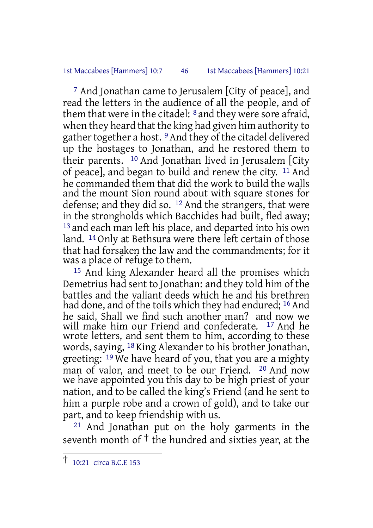#### 1st Maccabees [Hammers] 10:7 46 1st Maccabees [Hammers] 10:21

7 And Jonathan came to Jerusalem [City of peace], and read the letters in the audience of all the people, and of them that were in the citadel:  $\delta$  and they were sore afraid, when they heard that the king had given him authority to gather together a host. <sup>9</sup> And they of the citadel delivered up the hostages to Jonathan, and he restored them to their parents. 10 And Jonathan lived in Jerusalem [City of peace], and began to build and renew the city. 11 And he commanded them that did the work to build the walls and the mount Sion round about with square stones for defense; and they did so. <sup>12</sup> And the strangers, that were in the strongholds which Bacchides had built, fled away; <sup>13</sup> and each man left his place, and departed into his own land. 14 Only at Bethsura were there left certain of those that had forsaken the law and the commandments; for it was a place of refuge to them.

15 And king Alexander heard all the promises which Demetrius had sent to Jonathan: and they told him of the battles and the valiant deeds which he and his brethren had done, and of the toils which they had endured; <sup>16</sup> And he said, Shall we find such another man? and now we will make him our Friend and confederate. 17 And he wrote letters, and sent them to him, according to these words, saying, 18 King Alexander to his brother Jonathan, greeting: <sup>19</sup> We have heard of you, that you are a mighty man of valor, and meet to be our Friend. 20 And now we have appointed you this day to be high priest of your nation, and to be called the king's Friend (and he sent to him a purple robe and a crown of gold), and to take our part, and to keep friendship with us.

21 And Jonathan put on the holy garments in the seventh month of † the hundred and sixties year, at the

 $\overline{1}$  10:21 circa B.C.E 153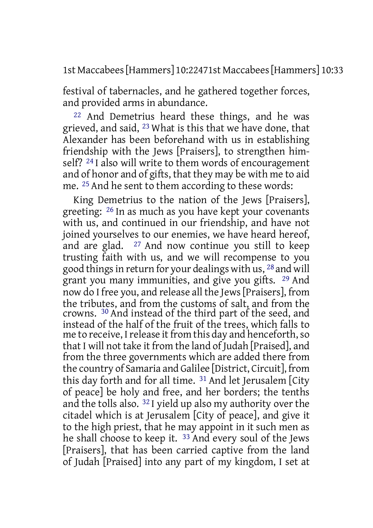1st Maccabees[Hammers] 10:22471st Maccabees[Hammers] 10:33

festival of tabernacles, and he gathered together forces, and provided arms in abundance.

22 And Demetrius heard these things, and he was grieved, and said, 23 What is this that we have done, that Alexander has been beforehand with us in establishing friendship with the Jews [Praisers], to strengthen himself? 24 I also will write to them words of encouragement and of honor and of gifts, that they may be with me to aid me. 25 And he sent to them according to these words:

King Demetrius to the nation of the Jews [Praisers], greeting: 26 In as much as you have kept your covenants with us, and continued in our friendship, and have not joined yourselves to our enemies, we have heard hereof, and are glad. 27 And now continue you still to keep trusting faith with us, and we will recompense to you good things in return for your dealings with us, 28 and will grant you many immunities, and give you gifts. 29 And now do I free you, and release all the Jews[Praisers], from the tributes, and from the customs of salt, and from the crowns. 30 And instead of the third part of the seed, and instead of the half of the fruit of the trees, which falls to me to receive, I release it from this day and henceforth, so that I will not take it from the land of Judah [Praised], and from the three governments which are added there from the country of Samaria and Galilee [District, Circuit], from this day forth and for all time. 31 And let Jerusalem [City of peace] be holy and free, and her borders; the tenths and the tolls also. 32 I yield up also my authority over the citadel which is at Jerusalem [City of peace], and give it to the high priest, that he may appoint in it such men as he shall choose to keep it. 33 And every soul of the Jews [Praisers], that has been carried captive from the land of Judah [Praised] into any part of my kingdom, I set at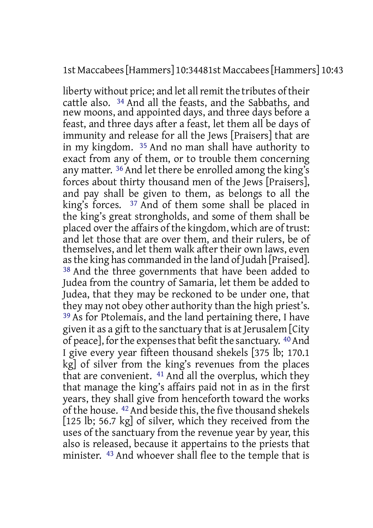#### 1st Maccabees[Hammers] 10:34481st Maccabees[Hammers] 10:43

liberty without price; and let all remit the tributes of their cattle also. 34 And all the feasts, and the Sabbaths, and new moons, and appointed days, and three days before a feast, and three days after a feast, let them all be days of immunity and release for all the Jews [Praisers] that are in my kingdom. 35 And no man shall have authority to exact from any of them, or to trouble them concerning any matter. 36 And let there be enrolled among the king's forces about thirty thousand men of the Jews [Praisers], and pay shall be given to them, as belongs to all the king's forces.  $37$  And of them some shall be placed in the king's great strongholds, and some of them shall be placed over the affairs of the kingdom, which are of trust: and let those that are over them, and their rulers, be of themselves, and let them walk after their own laws, even asthe king has commanded in the land of Judah [Praised]. 38 And the three governments that have been added to Judea from the country of Samaria, let them be added to Judea, that they may be reckoned to be under one, that they may not obey other authority than the high priest's. 39 As for Ptolemais, and the land pertaining there, I have given it as a gift to the sanctuary that is at Jerusalem [City of peace], for the expenses that befit the sanctuary. 40 And I give every year fifteen thousand shekels [375 lb; 170.1 kg] of silver from the king's revenues from the places that are convenient. 41 And all the overplus, which they that manage the king's affairs paid not in as in the first years, they shall give from henceforth toward the works of the house. 42And beside this, the five thousand shekels [125 lb; 56.7 kg] of silver, which they received from the uses of the sanctuary from the revenue year by year, this also is released, because it appertains to the priests that minister. 43 And whoever shall flee to the temple that is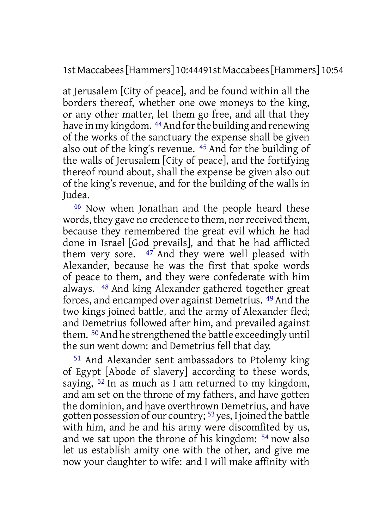1st Maccabees[Hammers] 10:44491st Maccabees[Hammers] 10:54

at Jerusalem [City of peace], and be found within all the borders thereof, whether one owe moneys to the king, or any other matter, let them go free, and all that they have in my kingdom. <sup>44</sup> And for the building and renewing of the works of the sanctuary the expense shall be given also out of the king's revenue. 45 And for the building of the walls of Jerusalem [City of peace], and the fortifying thereof round about, shall the expense be given also out of the king's revenue, and for the building of the walls in Judea.

46 Now when Jonathan and the people heard these words, they gave no credence to them, nor received them, because they remembered the great evil which he had done in Israel [God prevails], and that he had afflicted them very sore.  $47$  And they were well pleased with Alexander, because he was the first that spoke words of peace to them, and they were confederate with him always. 48 And king Alexander gathered together great forces, and encamped over against Demetrius. 49 And the two kings joined battle, and the army of Alexander fled; and Demetrius followed after him, and prevailed against them. 50And he strengthened the battle exceedingly until the sun went down: and Demetrius fell that day.

51 And Alexander sent ambassadors to Ptolemy king of Egypt [Abode of slavery] according to these words, saying, 52 In as much as I am returned to my kingdom, and am set on the throne of my fathers, and have gotten the dominion, and have overthrown Demetrius, and have gotten possession of our country; 53yes, I joined the battle with him, and he and his army were discomfited by us, and we sat upon the throne of his kingdom: 54 now also let us establish amity one with the other, and give me now your daughter to wife: and I will make affinity with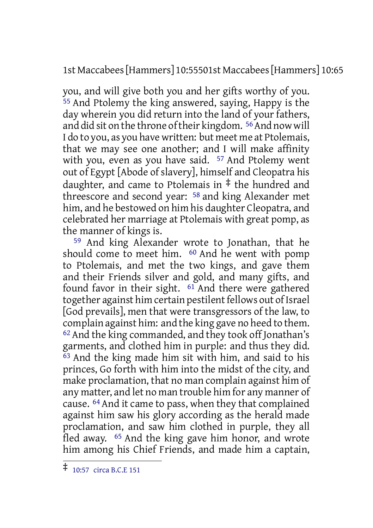1st Maccabees[Hammers] 10:55501st Maccabees[Hammers] 10:65

you, and will give both you and her gifts worthy of you. 55 And Ptolemy the king answered, saying, Happy is the day wherein you did return into the land of your fathers, and did sit on the throne of their kingdom.<sup>56</sup> And now will I do to you, as you have written: but meet me at Ptolemais, that we may see one another; and I will make affinity with you, even as you have said. 57 And Ptolemy went out of Egypt [Abode of slavery], himself and Cleopatra his daughter, and came to Ptolemais in  $\ddagger$  the hundred and threescore and second year: 58 and king Alexander met him, and he bestowed on him his daughter Cleopatra, and celebrated her marriage at Ptolemais with great pomp, as the manner of kings is.

59 And king Alexander wrote to Jonathan, that he should come to meet him.  $60$  And he went with pomp to Ptolemais, and met the two kings, and gave them and their Friends silver and gold, and many gifts, and found favor in their sight. <sup>61</sup> And there were gathered together against him certain pestilent fellows out of Israel [God prevails], men that were transgressors of the law, to complain against him: and the king gave no heed to them. 62 And the king commanded, and they took off Jonathan's garments, and clothed him in purple: and thus they did.  $\overline{63}$  And the king made him sit with him, and said to his princes, Go forth with him into the midst of the city, and make proclamation, that no man complain against him of any matter, and let no man trouble him for any manner of cause. 64 And it came to pass, when they that complained against him saw his glory according as the herald made proclamation, and saw him clothed in purple, they all fled away. 65 And the king gave him honor, and wrote him among his Chief Friends, and made him a captain,

<sup>‡</sup> 10:57 circa B.C.E <sup>151</sup>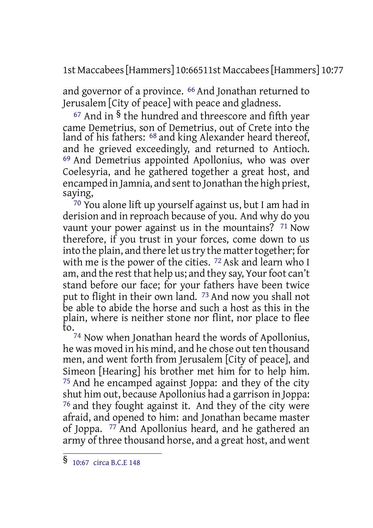1st Maccabees[Hammers] 10:66511st Maccabees[Hammers] 10:77

and governor of a province. 66 And Jonathan returned to Jerusalem [City of peace] with peace and gladness.

 $67$  And in  $\frac{6}{3}$  the hundred and threescore and fifth year came Demetrius, son of Demetrius, out of Crete into the land of his fathers: 68 and king Alexander heard thereof, and he grieved exceedingly, and returned to Antioch. 69 And Demetrius appointed Apollonius, who was over Coelesyria, and he gathered together a great host, and encamped in Jamnia, and sent to Jonathan the high priest, saying,

<sup>70</sup> You alone lift up yourself against us, but I am had in derision and in reproach because of you. And why do you vaunt your power against us in the mountains? 71 Now therefore, if you trust in your forces, come down to us into the plain, and there let us try the matter together; for with me is the power of the cities. <sup>72</sup> Ask and learn who I am, and the rest that help us; and they say, Your foot can't stand before our face; for your fathers have been twice put to flight in their own land. 73 And now you shall not be able to abide the horse and such a host as this in the plain, where is neither stone nor flint, nor place to flee to.

74 Now when Jonathan heard the words of Apollonius, he was moved in his mind, and he chose out ten thousand men, and went forth from Jerusalem [City of peace], and Simeon [Hearing] his brother met him for to help him. 75 And he encamped against Joppa: and they of the city shut him out, because Apollonius had a garrison in Joppa: 76 and they fought against it. And they of the city were afraid, and opened to him: and Jonathan became master of Joppa. 77 And Apollonius heard, and he gathered an army of three thousand horse, and a great host, and went

<sup>§</sup> 10:67 circa B.C.E <sup>148</sup>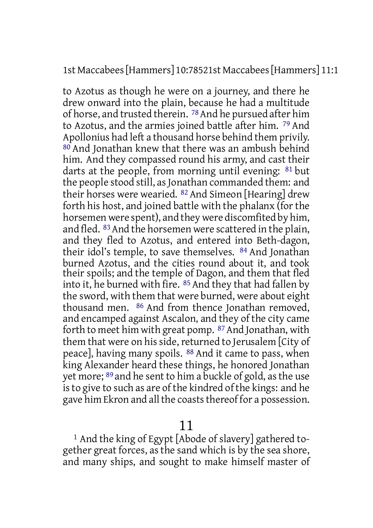#### 1st Maccabees[Hammers] 10:78521st Maccabees[Hammers] 11:1

to Azotus as though he were on a journey, and there he drew onward into the plain, because he had a multitude of horse, and trusted therein. 78And he pursued after him to Azotus, and the armies joined battle after him. 79 And Apollonius had left a thousand horse behind them privily. 80 And Jonathan knew that there was an ambush behind him. And they compassed round his army, and cast their darts at the people, from morning until evening: 81 but the people stood still, as Jonathan commanded them: and their horses were wearied. 82 And Simeon [Hearing] drew forth his host, and joined battle with the phalanx (forthe horsemen were spent), and they were discomfited by him, and fled. <sup>83</sup> And the horsemen were scattered in the plain, and they fled to Azotus, and entered into Beth-dagon, their idol's temple, to save themselves. 84 And Jonathan burned Azotus, and the cities round about it, and took their spoils; and the temple of Dagon, and them that fled into it, he burned with fire. 85 And they that had fallen by the sword, with them that were burned, were about eight thousand men. 86 And from thence Jonathan removed, and encamped against Ascalon, and they of the city came forth to meet him with great pomp. <sup>87</sup> And Jonathan, with them that were on his side, returned to Jerusalem [City of peace], having many spoils. 88 And it came to pass, when king Alexander heard these things, he honored Jonathan yet more; 89 and he sent to him a buckle of gold, asthe use isto give to such as are of the kindred of the kings: and he gave him Ekron and all the coasts thereof for a possession.

11

1 And the king of Egypt [Abode of slavery] gathered together great forces, as the sand which is by the sea shore, and many ships, and sought to make himself master of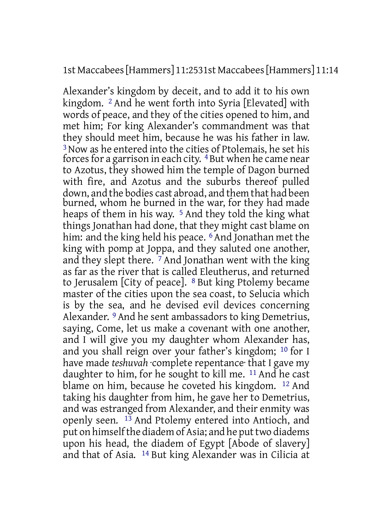#### 1st Maccabees[Hammers] 11:2531st Maccabees[Hammers] 11:14

Alexander's kingdom by deceit, and to add it to his own kingdom. 2 And he went forth into Syria [Elevated] with words of peace, and they of the cities opened to him, and met him; For king Alexander's commandment was that they should meet him, because he was his father in law. 3Now as he entered into the cities of Ptolemais, he set his forces for a garrison in each city. <sup>4</sup> But when he came near to Azotus, they showed him the temple of Dagon burned with fire, and Azotus and the suburbs thereof pulled down, and the bodies cast abroad, and them that had been burned, whom he burned in the war, for they had made heaps of them in his way.<sup>5</sup> And they told the king what things Jonathan had done, that they might cast blame on him: and the king held his peace. <sup>6</sup> And Jonathan met the king with pomp at Joppa, and they saluted one another, and they slept there.  $\frac{7}{7}$  And Jonathan went with the king as far as the river that is called Eleutherus, and returned to Jerusalem [City of peace]. <sup>8</sup> But king Ptolemy became master of the cities upon the sea coast, to Selucia which is by the sea, and he devised evil devices concerning Alexander. 9 And he sent ambassadors to king Demetrius, saying, Come, let us make a covenant with one another, and I will give you my daughter whom Alexander has, and you shall reign over your father's kingdom; 10 for I have made *teshuvah* ·complete repentance· that I gave my daughter to him, for he sought to kill me. 11 And he cast blame on him, because he coveted his kingdom. 12 And taking his daughter from him, he gave her to Demetrius, and was estranged from Alexander, and their enmity was openly seen. 13 And Ptolemy entered into Antioch, and put on himself the diadem of Asia; and he put two diadems upon his head, the diadem of Egypt [Abode of slavery] and that of Asia. 14 But king Alexander was in Cilicia at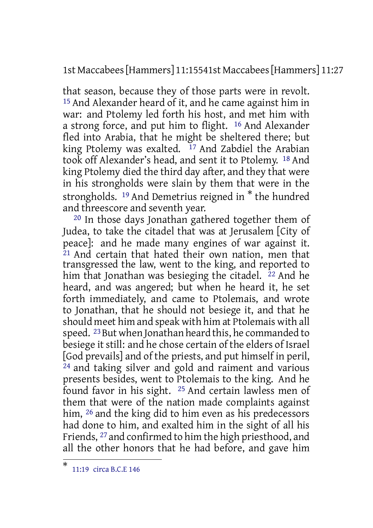1st Maccabees[Hammers] 11:15541st Maccabees[Hammers] 11:27

that season, because they of those parts were in revolt. 15 And Alexander heard of it, and he came against him in war: and Ptolemy led forth his host, and met him with a strong force, and put him to flight. 16 And Alexander fled into Arabia, that he might be sheltered there; but king Ptolemy was exalted.  $17$  And Zabdiel the Arabian took off Alexander's head, and sent it to Ptolemy. 18 And king Ptolemy died the third day after, and they that were in his strongholds were slain by them that were in the strongholds. <sup>19</sup> And Demetrius reigned in \* the hundred and threescore and seventh year.

20 In those days Jonathan gathered together them of Judea, to take the citadel that was at Jerusalem [City of peace]: and he made many engines of war against it. 21 And certain that hated their own nation, men that transgressed the law, went to the king, and reported to him that Jonathan was besieging the citadel. <sup>22</sup> And he heard, and was angered; but when he heard it, he set forth immediately, and came to Ptolemais, and wrote to Jonathan, that he should not besiege it, and that he should meet him and speak with him at Ptolemais with all speed. <sup>23</sup> But when Jonathan heard this, he commanded to besiege it still: and he chose certain of the elders of Israel [God prevails] and of the priests, and put himself in peril, 24 and taking silver and gold and raiment and various presents besides, went to Ptolemais to the king. And he found favor in his sight. 25 And certain lawless men of them that were of the nation made complaints against him, <sup>26</sup> and the king did to him even as his predecessors had done to him, and exalted him in the sight of all his Friends, 27 and confirmed to him the high priesthood, and all the other honors that he had before, and gave him

<sup>\*</sup> 11:19 circa B.C.E 146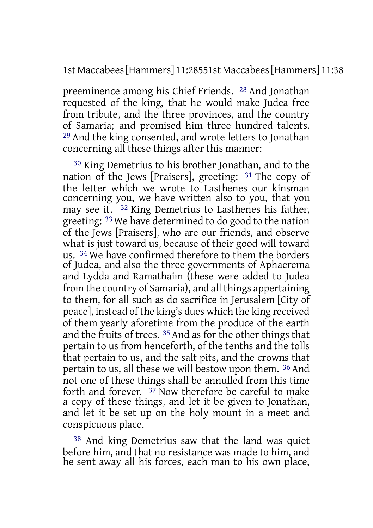1st Maccabees[Hammers] 11:28551st Maccabees[Hammers] 11:38

preeminence among his Chief Friends. 28 And Jonathan requested of the king, that he would make Judea free from tribute, and the three provinces, and the country of Samaria; and promised him three hundred talents. 29 And the king consented, and wrote letters to Jonathan concerning all these things after this manner:

30 King Demetrius to his brother Jonathan, and to the nation of the Jews [Praisers], greeting: 31 The copy of the letter which we wrote to Lasthenes our kinsman concerning you, we have written also to you, that you may see it. 32 King Demetrius to Lasthenes his father, greeting: 33 We have determined to do good to the nation of the Jews [Praisers], who are our friends, and observe what is just toward us, because of their good will toward us. 34 We have confirmed therefore to them the borders of Judea, and also the three governments of Aphaerema and Lydda and Ramathaim (these were added to Judea from the country of Samaria), and all things appertaining to them, for all such as do sacrifice in Jerusalem [City of peace], instead of the king's dues which the king received of them yearly aforetime from the produce of the earth and the fruits of trees. 35 And as for the other things that pertain to us from henceforth, of the tenths and the tolls that pertain to us, and the salt pits, and the crowns that pertain to us, all these we will bestow upon them. 36 And not one of these things shall be annulled from this time forth and forever. 37 Now therefore be careful to make a copy of these things, and let it be given to Jonathan, and let it be set up on the holy mount in a meet and conspicuous place.

38 And king Demetrius saw that the land was quiet before him, and that no resistance was made to him, and he sent away all his forces, each man to his own place,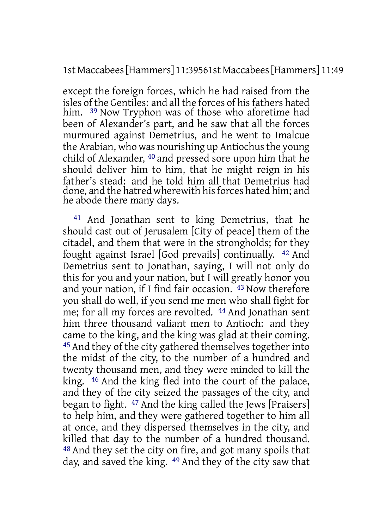1st Maccabees[Hammers] 11:39561st Maccabees[Hammers] 11:49

except the foreign forces, which he had raised from the isles of the Gentiles: and all the forces of his fathers hated him. <sup>39</sup> Now Tryphon was of those who aforetime had been of Alexander's part, and he saw that all the forces murmured against Demetrius, and he went to Imalcue the Arabian, who was nourishing up Antiochus the young child of Alexander, 40 and pressed sore upon him that he should deliver him to him, that he might reign in his father's stead: and he told him all that Demetrius had done, and the hatred wherewith his forces hated him; and he abode there many days.

41 And Jonathan sent to king Demetrius, that he should cast out of Jerusalem [City of peace] them of the citadel, and them that were in the strongholds; for they fought against Israel [God prevails] continually. 42 And Demetrius sent to Jonathan, saying, I will not only do this for you and your nation, but I will greatly honor you and your nation, if I find fair occasion. 43 Now therefore you shall do well, if you send me men who shall fight for me; for all my forces are revolted. 44 And Jonathan sent him three thousand valiant men to Antioch: and they came to the king, and the king was glad at their coming. 45 And they of the city gathered themselves together into the midst of the city, to the number of a hundred and twenty thousand men, and they were minded to kill the king. 46 And the king fled into the court of the palace, and they of the city seized the passages of the city, and began to fight. 47 And the king called the Jews [Praisers] to help him, and they were gathered together to him all at once, and they dispersed themselves in the city, and killed that day to the number of a hundred thousand. 48 And they set the city on fire, and got many spoils that day, and saved the king. 49 And they of the city saw that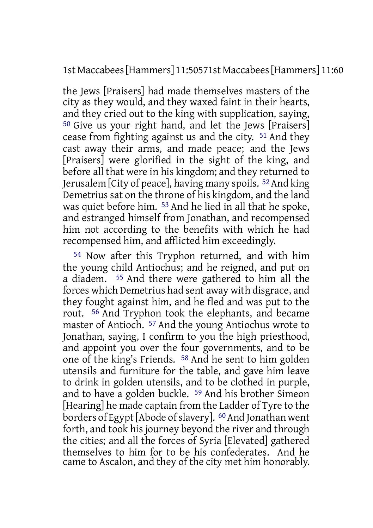1st Maccabees[Hammers] 11:50571st Maccabees[Hammers] 11:60

the Jews [Praisers] had made themselves masters of the city as they would, and they waxed faint in their hearts, and they cried out to the king with supplication, saying, 50 Give us your right hand, and let the Jews [Praisers] cease from fighting against us and the city. 51 And they cast away their arms, and made peace; and the Jews [Praisers] were glorified in the sight of the king, and before all that were in his kingdom; and they returned to Jerusalem [City of peace], having many spoils. 52And king Demetrius sat on the throne of his kingdom, and the land was quiet before him. 53 And he lied in all that he spoke, and estranged himself from Jonathan, and recompensed him not according to the benefits with which he had recompensed him, and afflicted him exceedingly.

54 Now after this Tryphon returned, and with him the young child Antiochus; and he reigned, and put on a diadem. 55 And there were gathered to him all the forces which Demetrius had sent away with disgrace, and they fought against him, and he fled and was put to the rout. 56 And Tryphon took the elephants, and became master of Antioch. 57 And the young Antiochus wrote to Jonathan, saying, I confirm to you the high priesthood, and appoint you over the four governments, and to be one of the king's Friends. 58 And he sent to him golden utensils and furniture for the table, and gave him leave to drink in golden utensils, and to be clothed in purple, and to have a golden buckle. 59 And his brother Simeon [Hearing] he made captain from the Ladder of Tyre to the borders of Egypt [Abode of slavery]. <sup>60</sup> And Jonathan went forth, and took his journey beyond the river and through the cities; and all the forces of Syria [Elevated] gathered themselves to him for to be his confederates. And he came to Ascalon, and they of the city met him honorably.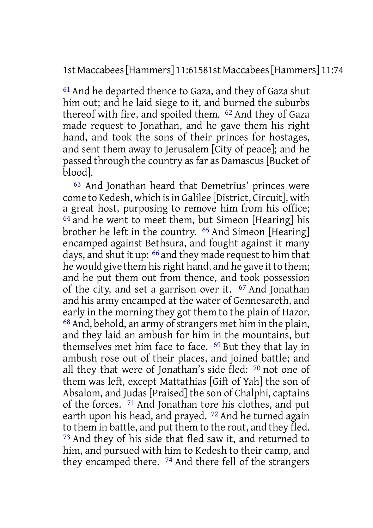1st Maccabees[Hammers] 11:61581st Maccabees[Hammers] 11:74

61 And he departed thence to Gaza, and they of Gaza shut him out; and he laid siege to it, and burned the suburbs thereof with fire, and spoiled them. 62 And they of Gaza made request to Jonathan, and he gave them his right hand, and took the sons of their princes for hostages, and sent them away to Jerusalem [City of peace]; and he passed through the country as far as Damascus [Bucket of blood].

63 And Jonathan heard that Demetrius' princes were come to Kedesh, which isin Galilee [District, Circuit], with a great host, purposing to remove him from his office;  $64$  and he went to meet them, but Simeon [Hearing] his brother he left in the country. 65 And Simeon [Hearing] encamped against Bethsura, and fought against it many days, and shut it up: 66 and they made request to him that he would give them his right hand, and he gave it to them; and he put them out from thence, and took possession of the city, and set a garrison over it. 67 And Jonathan and his army encamped at the water of Gennesareth, and early in the morning they got them to the plain of Hazor.  $68$  And, behold, an army of strangers met him in the plain, and they laid an ambush for him in the mountains, but themselves met him face to face. 69 But they that lay in ambush rose out of their places, and joined battle; and all they that were of Jonathan's side fled: 70 not one of them was left, except Mattathias [Gift of Yah] the son of Absalom, and Judas [Praised] the son of Chalphi, captains of the forces. 71 And Jonathan tore his clothes, and put earth upon his head, and prayed. 72 And he turned again to them in battle, and put them to the rout, and they fled. 73 And they of his side that fled saw it, and returned to him, and pursued with him to Kedesh to their camp, and they encamped there. 74 And there fell of the strangers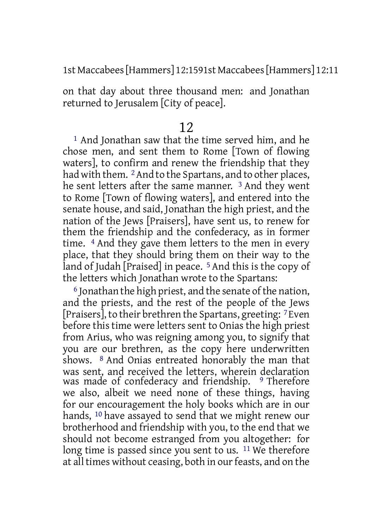1st Maccabees[Hammers] 12:1591st Maccabees[Hammers] 12:11

on that day about three thousand men: and Jonathan returned to Jerusalem [City of peace].

#### 12

1 And Jonathan saw that the time served him, and he chose men, and sent them to Rome [Town of flowing waters], to confirm and renew the friendship that they had with them. <sup>2</sup> And to the Spartans, and to other places, he sent letters after the same manner. 3 And they went to Rome [Town of flowing waters], and entered into the senate house, and said, Jonathan the high priest, and the nation of the Jews [Praisers], have sent us, to renew for them the friendship and the confederacy, as in former time. 4 And they gave them letters to the men in every place, that they should bring them on their way to the land of Judah [Praised] in peace.<sup>5</sup> And this is the copy of the letters which Jonathan wrote to the Spartans:

 $6$  Jonathan the high priest, and the senate of the nation, and the priests, and the rest of the people of the Jews [Praisers], to their brethren the Spartans, greeting: 7 Even before this time were letters sent to Onias the high priest from Arius, who was reigning among you, to signify that you are our brethren, as the copy here underwritten shows. 8 And Onias entreated honorably the man that was sent, and received the letters, wherein declaration was made of confederacy and friendship. <sup>9</sup> Therefore we also, albeit we need none of these things, having for our encouragement the holy books which are in our hands, <sup>10</sup> have assayed to send that we might renew our brotherhood and friendship with you, to the end that we should not become estranged from you altogether: for long time is passed since you sent to us. <sup>11</sup> We therefore at all times without ceasing, both in our feasts, and on the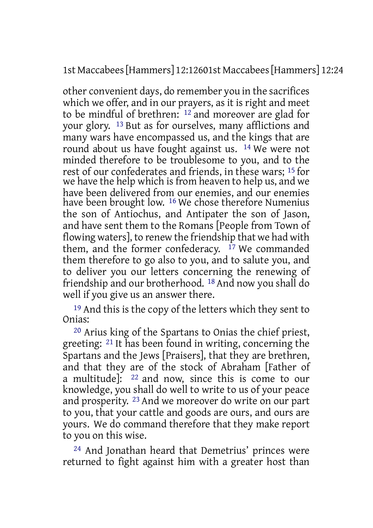1st Maccabees[Hammers] 12:12601st Maccabees[Hammers] 12:24

other convenient days, do remember you in the sacrifices which we offer, and in our prayers, as it is right and meet to be mindful of brethren: 12 and moreover are glad for your glory. 13 But as for ourselves, many afflictions and many wars have encompassed us, and the kings that are round about us have fought against us. 14 We were not minded therefore to be troublesome to you, and to the rest of our confederates and friends, in these wars; 15 for we have the help which is from heaven to help us, and we have been delivered from our enemies, and our enemies have been brought low. <sup>16</sup> We chose therefore Numenius the son of Antiochus, and Antipater the son of Jason, and have sent them to the Romans [People from Town of flowing waters], to renew the friendship that we had with them, and the former confederacy.  $17$  We commanded them therefore to go also to you, and to salute you, and to deliver you our letters concerning the renewing of friendship and our brotherhood. 18 And now you shall do well if you give us an answer there.

19 And this is the copy of the letters which they sent to Onias:

20 Arius king of the Spartans to Onias the chief priest, greeting: 21 It has been found in writing, concerning the Spartans and the Jews [Praisers], that they are brethren, and that they are of the stock of Abraham [Father of a multitude]: 22 and now, since this is come to our knowledge, you shall do well to write to us of your peace and prosperity. 23 And we moreover do write on our part to you, that your cattle and goods are ours, and ours are yours. We do command therefore that they make report to you on this wise.

24 And Jonathan heard that Demetrius' princes were returned to fight against him with a greater host than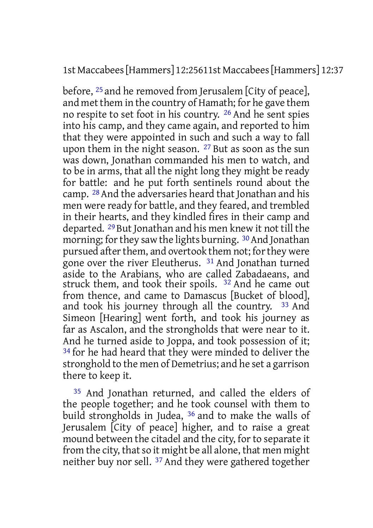1st Maccabees[Hammers] 12:25611st Maccabees[Hammers] 12:37

before, 25 and he removed from Jerusalem [City of peace], and met them in the country of Hamath; for he gave them no respite to set foot in his country. 26 And he sent spies into his camp, and they came again, and reported to him that they were appointed in such and such a way to fall upon them in the night season. 27 But as soon as the sun was down, Jonathan commanded his men to watch, and to be in arms, that all the night long they might be ready for battle: and he put forth sentinels round about the camp. 28 And the adversaries heard that Jonathan and his men were ready for battle, and they feared, and trembled in their hearts, and they kindled fires in their camp and departed. 29 But Jonathan and his men knew it not till the morning; for they saw the lights burning. <sup>30</sup> And Jonathan pursued after them, and overtook them not; for they were gone over the river Eleutherus. 31 And Jonathan turned aside to the Arabians, who are called Zabadaeans, and struck them, and took their spoils. <sup>32</sup> And he came out from thence, and came to Damascus [Bucket of blood], and took his journey through all the country. 33 And Simeon [Hearing] went forth, and took his journey as far as Ascalon, and the strongholds that were near to it. And he turned aside to Joppa, and took possession of it; <sup>34</sup> for he had heard that they were minded to deliver the stronghold to the men of Demetrius; and he set a garrison there to keep it.

35 And Jonathan returned, and called the elders of the people together; and he took counsel with them to build strongholds in Judea, 36 and to make the walls of Jerusalem [City of peace] higher, and to raise a great mound between the citadel and the city, for to separate it from the city, that so it might be all alone, that men might neither buy nor sell. 37 And they were gathered together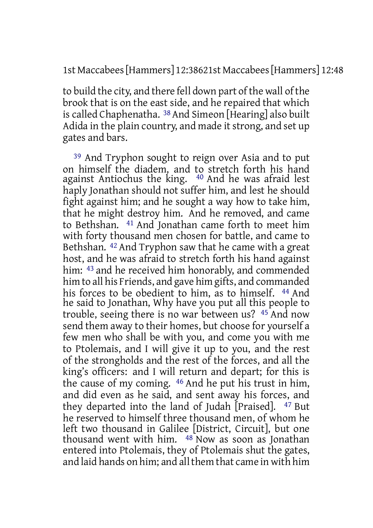#### 1st Maccabees[Hammers] 12:38621st Maccabees[Hammers] 12:48

to build the city, and there fell down part of the wall of the brook that is on the east side, and he repaired that which is called Chaphenatha. <sup>38</sup> And Simeon [Hearing] also built Adida in the plain country, and made it strong, and set up gates and bars.

39 And Tryphon sought to reign over Asia and to put on himself the diadem, and to stretch forth his hand against Antiochus the king. 40 And he was afraid lest haply Jonathan should not suffer him, and lest he should fight against him; and he sought a way how to take him, that he might destroy him. And he removed, and came to Bethshan. 41 And Jonathan came forth to meet him with forty thousand men chosen for battle, and came to Bethshan. 42 And Tryphon saw that he came with a great host, and he was afraid to stretch forth his hand against him: 43 and he received him honorably, and commended him to all his Friends, and gave him gifts, and commanded his forces to be obedient to him, as to himself. <sup>44</sup> And he said to Jonathan, Why have you put all this people to trouble, seeing there is no war between us? 45 And now send them away to their homes, but choose for yourself a few men who shall be with you, and come you with me to Ptolemais, and I will give it up to you, and the rest of the strongholds and the rest of the forces, and all the king's officers: and I will return and depart; for this is the cause of my coming. 46 And he put his trust in him, and did even as he said, and sent away his forces, and they departed into the land of Judah [Praised]. 47 But he reserved to himself three thousand men, of whom he left two thousand in Galilee [District, Circuit], but one thousand went with him.  $48$  Now as soon as Jonathan entered into Ptolemais, they of Ptolemais shut the gates, and laid hands on him; and allthem that came in with him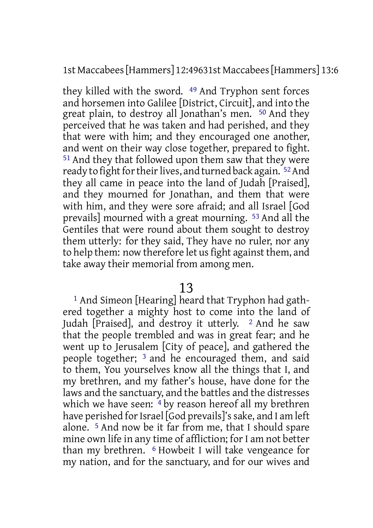1st Maccabees[Hammers] 12:49631st Maccabees[Hammers] 13:6

they killed with the sword. 49 And Tryphon sent forces and horsemen into Galilee [District, Circuit], and into the great plain, to destroy all Jonathan's men. 50 And they perceived that he was taken and had perished, and they that were with him; and they encouraged one another, and went on their way close together, prepared to fight. 51 And they that followed upon them saw that they were ready to fight for their lives, and turned back again. <sup>52</sup> And they all came in peace into the land of Judah [Praised], and they mourned for Jonathan, and them that were with him, and they were sore afraid; and all Israel [God prevails] mourned with a great mourning. 53 And all the Gentiles that were round about them sought to destroy them utterly: for they said, They have no ruler, nor any to help them: now therefore let us fight against them, and take away their memorial from among men.

### 13

1 And Simeon [Hearing] heard that Tryphon had gathered together a mighty host to come into the land of Judah [Praised], and destroy it utterly.  $\frac{2}{3}$  And he saw that the people trembled and was in great fear; and he went up to Jerusalem [City of peace], and gathered the people together; 3 and he encouraged them, and said to them, You yourselves know all the things that I, and my brethren, and my father's house, have done for the laws and the sanctuary, and the battles and the distresses which we have seen: <sup>4</sup> by reason hereof all my brethren have perished for Israel [God prevails]'s sake, and I am left alone. 5 And now be it far from me, that I should spare mine own life in any time of affliction; for I am not better than my brethren. 6 Howbeit I will take vengeance for my nation, and for the sanctuary, and for our wives and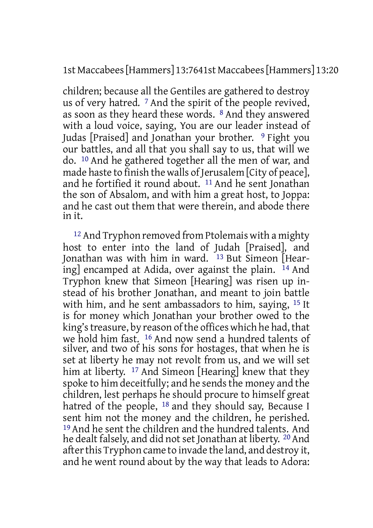1st Maccabees[Hammers] 13:7641st Maccabees[Hammers] 13:20

children; because all the Gentiles are gathered to destroy us of very hatred. 7 And the spirit of the people revived, as soon as they heard these words. 8 And they answered with a loud voice, saying, You are our leader instead of Judas [Praised] and Jonathan your brother. 9 Fight you our battles, and all that you shall say to us, that will we do. 10 And he gathered together all the men of war, and made haste to finish the walls of Jerusalem [City of peace], and he fortified it round about. 11 And he sent Jonathan the son of Absalom, and with him a great host, to Joppa: and he cast out them that were therein, and abode there in it.

<sup>12</sup> And Tryphon removed from Ptolemais with a mighty host to enter into the land of Judah [Praised], and Jonathan was with him in ward.  $13$  But Simeon [Hearing] encamped at Adida, over against the plain. 14 And Tryphon knew that Simeon [Hearing] was risen up instead of his brother Jonathan, and meant to join battle with him, and he sent ambassadors to him, saying, 15 It is for money which Jonathan your brother owed to the king's treasure, by reason of the offices which he had, that we hold him fast. 16 And now send a hundred talents of silver, and two of his sons for hostages, that when he is set at liberty he may not revolt from us, and we will set him at liberty. <sup>17</sup> And Simeon [Hearing] knew that they spoke to him deceitfully; and he sends the money and the children, lest perhaps he should procure to himself great hatred of the people, <sup>18</sup> and they should say, Because I sent him not the money and the children, he perished. 19 And he sent the children and the hundred talents. And he dealt falsely, and did not set Jonathan at liberty. <sup>20</sup> And after this Tryphon came to invade the land, and destroy it, and he went round about by the way that leads to Adora: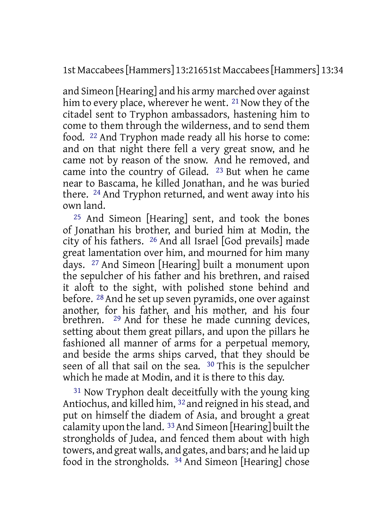1st Maccabees[Hammers] 13:21651st Maccabees[Hammers] 13:34

and Simeon [Hearing] and his army marched over against him to every place, wherever he went.  $21$  Now they of the citadel sent to Tryphon ambassadors, hastening him to come to them through the wilderness, and to send them food. 22 And Tryphon made ready all his horse to come: and on that night there fell a very great snow, and he came not by reason of the snow. And he removed, and came into the country of Gilead. 23 But when he came near to Bascama, he killed Jonathan, and he was buried there. 24 And Tryphon returned, and went away into his own land.

25 And Simeon [Hearing] sent, and took the bones of Jonathan his brother, and buried him at Modin, the city of his fathers. 26 And all Israel [God prevails] made great lamentation over him, and mourned for him many days. 27 And Simeon [Hearing] built a monument upon the sepulcher of his father and his brethren, and raised it aloft to the sight, with polished stone behind and before. 28 And he set up seven pyramids, one over against another, for his father, and his mother, and his four brethren. <sup>29</sup> And for these he made cunning devices, setting about them great pillars, and upon the pillars he fashioned all manner of arms for a perpetual memory, and beside the arms ships carved, that they should be seen of all that sail on the sea. 30 This is the sepulcher which he made at Modin, and it is there to this day.

31 Now Tryphon dealt deceitfully with the young king Antiochus, and killed him, <sup>32</sup> and reigned in his stead, and put on himself the diadem of Asia, and brought a great calamity upon the land.  $33$  And Simeon [Hearing] built the strongholds of Judea, and fenced them about with high towers, and great walls, and gates, and bars; and he laid up food in the strongholds. 34 And Simeon [Hearing] chose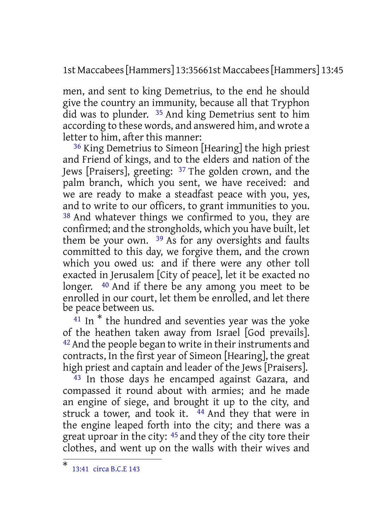1st Maccabees[Hammers] 13:35661st Maccabees[Hammers] 13:45

men, and sent to king Demetrius, to the end he should give the country an immunity, because all that Tryphon did was to plunder. 35 And king Demetrius sent to him according to these words, and answered him, and wrote a letter to him, after this manner:

36 King Demetrius to Simeon [Hearing] the high priest and Friend of kings, and to the elders and nation of the Jews [Praisers], greeting: 37 The golden crown, and the palm branch, which you sent, we have received: and we are ready to make a steadfast peace with you, yes, and to write to our officers, to grant immunities to you. 38 And whatever things we confirmed to you, they are confirmed; and the strongholds, which you have built, let them be your own. 39 As for any oversights and faults committed to this day, we forgive them, and the crown which you owed us: and if there were any other toll exacted in Jerusalem [City of peace], let it be exacted no longer. 40 And if there be any among you meet to be enrolled in our court, let them be enrolled, and let there be peace between us.

 $41$  In<sup>\*</sup> the hundred and seventies year was the yoke of the heathen taken away from Israel [God prevails]. <sup>42</sup> And the people began to write in their instruments and contracts, In the first year of Simeon [Hearing], the great high priest and captain and leader of the Jews [Praisers].

43 In those days he encamped against Gazara, and compassed it round about with armies; and he made an engine of siege, and brought it up to the city, and struck a tower, and took it.  $44$  And they that were in the engine leaped forth into the city; and there was a great uproar in the city: 45 and they of the city tore their clothes, and went up on the walls with their wives and

<sup>\*</sup> 13:41 circa B.C.E 143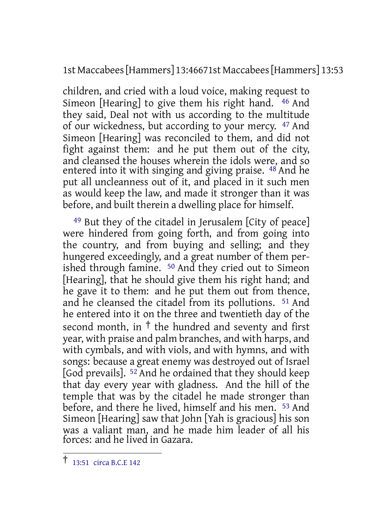1st Maccabees[Hammers] 13:46671st Maccabees[Hammers] 13:53

children, and cried with a loud voice, making request to Simeon [Hearing] to give them his right hand. 46 And they said, Deal not with us according to the multitude of our wickedness, but according to your mercy. 47 And Simeon [Hearing] was reconciled to them, and did not fight against them: and he put them out of the city, and cleansed the houses wherein the idols were, and so entered into it with singing and giving praise. <sup>48</sup> And he put all uncleanness out of it, and placed in it such men as would keep the law, and made it stronger than it was before, and built therein a dwelling place for himself.

49 But they of the citadel in Jerusalem [City of peace] were hindered from going forth, and from going into the country, and from buying and selling; and they hungered exceedingly, and a great number of them perished through famine. 50 And they cried out to Simeon [Hearing], that he should give them his right hand; and he gave it to them: and he put them out from thence, and he cleansed the citadel from its pollutions. 51 And he entered into it on the three and twentieth day of the second month, in † the hundred and seventy and first year, with praise and palm branches, and with harps, and with cymbals, and with viols, and with hymns, and with songs: because a great enemy was destroyed out of Israel [God prevails]. 52 And he ordained that they should keep that day every year with gladness. And the hill of the temple that was by the citadel he made stronger than before, and there he lived, himself and his men. 53 And Simeon [Hearing] saw that John [Yah is gracious] his son was a valiant man, and he made him leader of all his forces: and he lived in Gazara.

<sup>†</sup> 13:51 circa B.C.E <sup>142</sup>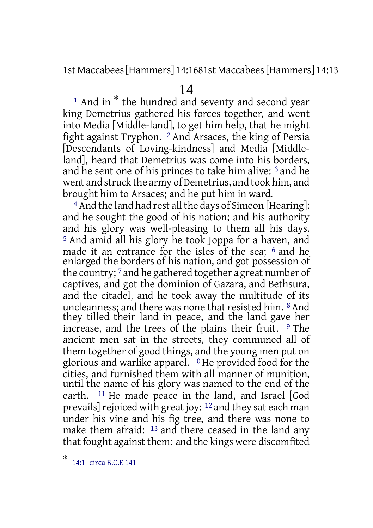1st Maccabees[Hammers] 14:1681st Maccabees[Hammers] 14:13

### 14

<sup>1</sup> And in<sup>\*</sup> the hundred and seventy and second year king Demetrius gathered his forces together, and went into Media [Middle-land], to get him help, that he might fight against Tryphon. 2 And Arsaces, the king of Persia [Descendants of Loving-kindness] and Media [Middleland], heard that Demetrius was come into his borders, and he sent one of his princes to take him alive: 3 and he went and struck the army of Demetrius, and took him, and brought him to Arsaces; and he put him in ward.

<sup>4</sup> And the land had rest all the days of Simeon [Hearing]: and he sought the good of his nation; and his authority and his glory was well-pleasing to them all his days. <sup>5</sup> And amid all his glory he took Joppa for a haven, and made it an entrance for the isles of the sea; <sup>6</sup> and he enlarged the borders of his nation, and got possession of the country; 7 and he gathered together a great number of captives, and got the dominion of Gazara, and Bethsura, and the citadel, and he took away the multitude of its uncleanness; and there was none that resisted him. 8 And they tilled their land in peace, and the land gave her increase, and the trees of the plains their fruit.  $9$  The ancient men sat in the streets, they communed all of them together of good things, and the young men put on glorious and warlike apparel. 10 He provided food for the cities, and furnished them with all manner of munition, until the name of his glory was named to the end of the earth. 11 He made peace in the land, and Israel [God prevails] rejoiced with great joy:  $12$  and they sat each man under his vine and his fig tree, and there was none to make them afraid: <sup>13</sup> and there ceased in the land any that fought against them: and the kings were discomfited

<sup>\*</sup> 14:1 circa B.C.E 141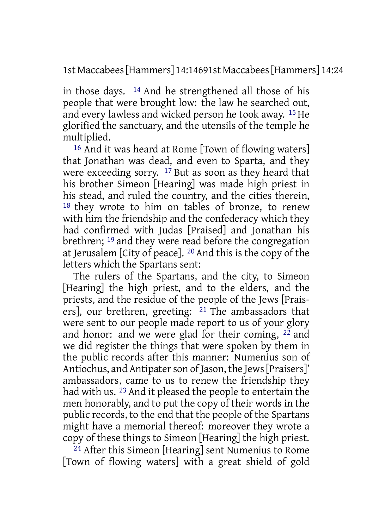1st Maccabees[Hammers] 14:14691st Maccabees[Hammers] 14:24

in those days. 14 And he strengthened all those of his people that were brought low: the law he searched out, and every lawless and wicked person he took away. 15 He glorified the sanctuary, and the utensils of the temple he multiplied.

16 And it was heard at Rome [Town of flowing waters] that Jonathan was dead, and even to Sparta, and they were exceeding sorry. 17 But as soon as they heard that his brother Simeon [Hearing] was made high priest in his stead, and ruled the country, and the cities therein, 18 they wrote to him on tables of bronze, to renew with him the friendship and the confederacy which they had confirmed with Judas [Praised] and Jonathan his brethren; 19 and they were read before the congregation at Jerusalem [City of peace]. 20 And this is the copy of the letters which the Spartans sent:

The rulers of the Spartans, and the city, to Simeon [Hearing] the high priest, and to the elders, and the priests, and the residue of the people of the Jews [Praisers], our brethren, greeting: 21 The ambassadors that were sent to our people made report to us of your glory and honor: and we were glad for their coming, 22 and we did register the things that were spoken by them in the public records after this manner: Numenius son of Antiochus, and Antipater son of Jason, the Jews [Praisers]' ambassadors, came to us to renew the friendship they had with us. <sup>23</sup> And it pleased the people to entertain the men honorably, and to put the copy of their words in the public records, to the end that the people of the Spartans might have a memorial thereof: moreover they wrote a copy of these things to Simeon [Hearing] the high priest.

24 After this Simeon [Hearing] sent Numenius to Rome [Town of flowing waters] with a great shield of gold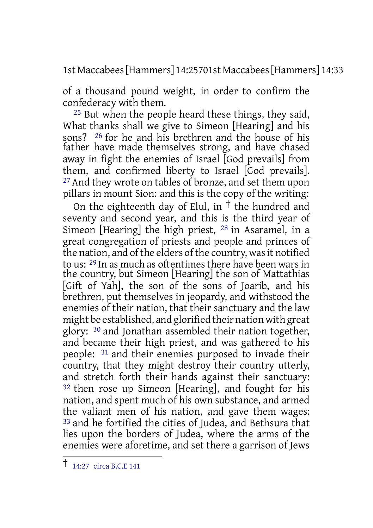1st Maccabees[Hammers] 14:25701st Maccabees[Hammers] 14:33

of a thousand pound weight, in order to confirm the confederacy with them.

25 But when the people heard these things, they said, What thanks shall we give to Simeon [Hearing] and his sons? <sup>26</sup> for he and his brethren and the house of his father have made themselves strong, and have chased away in fight the enemies of Israel [God prevails] from them, and confirmed liberty to Israel [God prevails]. <sup>27</sup> And they wrote on tables of bronze, and set them upon pillars in mount Sion: and this is the copy of the writing:

On the eighteenth day of Elul, in  $\dagger$  the hundred and seventy and second year, and this is the third year of Simeon [Hearing] the high priest, 28 in Asaramel, in a great congregation of priests and people and princes of the nation, and of the elders of the country, was it notified to us: 29 In as much as oftentimes there have been wars in the country, but Simeon [Hearing] the son of Mattathias [Gift of Yah], the son of the sons of Joarib, and his brethren, put themselves in jeopardy, and withstood the enemies of their nation, that their sanctuary and the law might be established, and glorified their nation with great glory: 30 and Jonathan assembled their nation together, and became their high priest, and was gathered to his people: 31 and their enemies purposed to invade their country, that they might destroy their country utterly, and stretch forth their hands against their sanctuary: 32 then rose up Simeon [Hearing], and fought for his nation, and spent much of his own substance, and armed the valiant men of his nation, and gave them wages: 33 and he fortified the cities of Judea, and Bethsura that lies upon the borders of Judea, where the arms of the enemies were aforetime, and set there a garrison of Jews

<sup>†</sup> 14:27 circa B.C.E <sup>141</sup>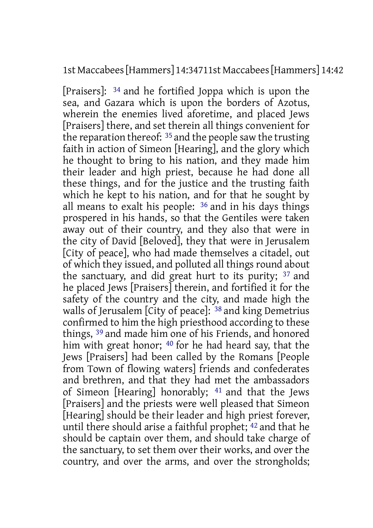#### 1st Maccabees[Hammers] 14:34711st Maccabees[Hammers] 14:42

[Praisers]: 34 and he fortified Joppa which is upon the sea, and Gazara which is upon the borders of Azotus, wherein the enemies lived aforetime, and placed Jews [Praisers] there, and set therein all things convenient for the reparation thereof: 35 and the people saw the trusting faith in action of Simeon [Hearing], and the glory which he thought to bring to his nation, and they made him their leader and high priest, because he had done all these things, and for the justice and the trusting faith which he kept to his nation, and for that he sought by all means to exalt his people: 36 and in his days things prospered in his hands, so that the Gentiles were taken away out of their country, and they also that were in the city of David [Beloved], they that were in Jerusalem [City of peace], who had made themselves a citadel, out of which they issued, and polluted all things round about the sanctuary, and did great hurt to its purity; 37 and he placed Jews [Praisers] therein, and fortified it for the safety of the country and the city, and made high the walls of Jerusalem [City of peace]: <sup>38</sup> and king Demetrius confirmed to him the high priesthood according to these things, 39 and made him one of his Friends, and honored him with great honor; 40 for he had heard say, that the Jews [Praisers] had been called by the Romans [People from Town of flowing waters] friends and confederates and brethren, and that they had met the ambassadors of Simeon [Hearing] honorably; 41 and that the Jews [Praisers] and the priests were well pleased that Simeon [Hearing] should be their leader and high priest forever, until there should arise a faithful prophet; 42 and that he should be captain over them, and should take charge of the sanctuary, to set them over their works, and over the country, and over the arms, and over the strongholds;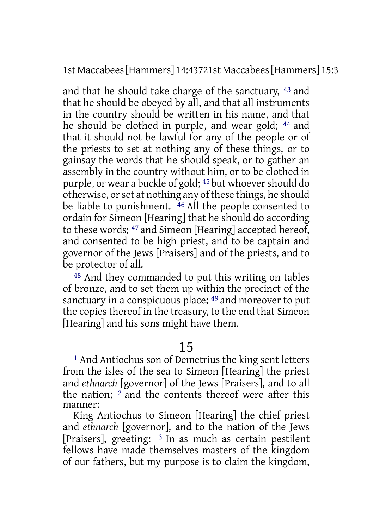1st Maccabees[Hammers] 14:43721st Maccabees[Hammers] 15:3

and that he should take charge of the sanctuary, 43 and that he should be obeyed by all, and that all instruments in the country should be written in his name, and that he should be clothed in purple, and wear gold; 44 and that it should not be lawful for any of the people or of the priests to set at nothing any of these things, or to gainsay the words that he should speak, or to gather an assembly in the country without him, or to be clothed in purple, or wear a buckle of gold; 45 but whoevershould do otherwise, or set at nothing any of these things, he should be liable to punishment.  $46$  All the people consented to ordain for Simeon [Hearing] that he should do according to these words; 47 and Simeon [Hearing] accepted hereof, and consented to be high priest, and to be captain and governor of the Jews [Praisers] and of the priests, and to be protector of all.

48 And they commanded to put this writing on tables of bronze, and to set them up within the precinct of the sanctuary in a conspicuous place; <sup>49</sup> and moreover to put the copies thereof in the treasury, to the end that Simeon [Hearing] and his sons might have them.

## 15

1 And Antiochus son of Demetrius the king sent letters from the isles of the sea to Simeon [Hearing] the priest and *ethnarch* [governor] of the Jews [Praisers], and to all the nation; <sup>2</sup> and the contents thereof were after this manner:

King Antiochus to Simeon [Hearing] the chief priest and *ethnarch* [governor], and to the nation of the Jews [Praisers], greeting: 3 In as much as certain pestilent fellows have made themselves masters of the kingdom of our fathers, but my purpose is to claim the kingdom,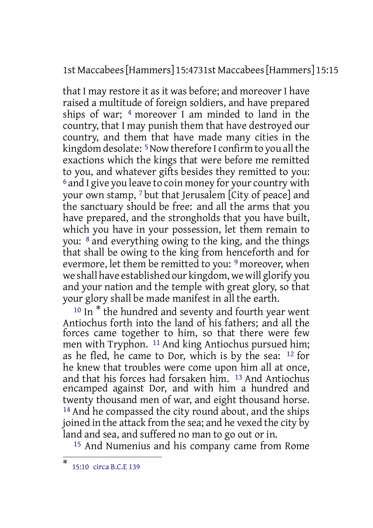1st Maccabees[Hammers] 15:4731st Maccabees[Hammers] 15:15

that I may restore it as it was before; and moreover I have raised a multitude of foreign soldiers, and have prepared ships of war; 4 moreover I am minded to land in the country, that I may punish them that have destroyed our country, and them that have made many cities in the kingdom desolate: <sup>5</sup> Now therefore I confirm to you all the exactions which the kings that were before me remitted to you, and whatever gifts besides they remitted to you: 6 and I give you leave to coin money for your country with your own stamp, 7 but that Jerusalem [City of peace] and the sanctuary should be free: and all the arms that you have prepared, and the strongholds that you have built, which you have in your possession, let them remain to you: 8 and everything owing to the king, and the things that shall be owing to the king from henceforth and for evermore, let them be remitted to you: <sup>9</sup> moreover, when we shall have established our kingdom, we will glorify you and your nation and the temple with great glory, so that your glory shall be made manifest in all the earth.

<sup>10</sup> In<sup>\*</sup> the hundred and seventy and fourth year went Antiochus forth into the land of his fathers; and all the forces came together to him, so that there were few men with Tryphon. <sup>11</sup> And king Antiochus pursued him; as he fled, he came to Dor, which is by the sea: 12 for he knew that troubles were come upon him all at once, and that his forces had forsaken him. 13 And Antiochus encamped against Dor, and with him a hundred and twenty thousand men of war, and eight thousand horse. <sup>14</sup> And he compassed the city round about, and the ships joined in the attack from the sea; and he vexed the city by land and sea, and suffered no man to go out or in.

15 And Numenius and his company came from Rome

<sup>\*</sup> 15:10 circa B.C.E 139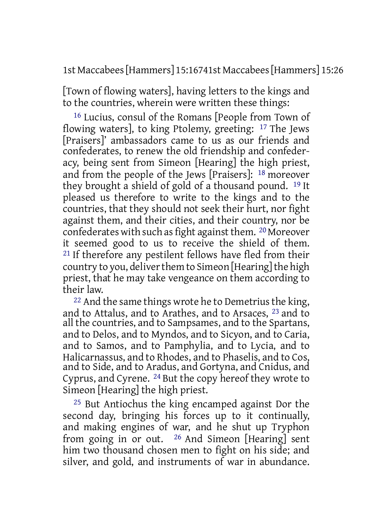1st Maccabees[Hammers] 15:16741st Maccabees[Hammers] 15:26

[Town of flowing waters], having letters to the kings and to the countries, wherein were written these things:

16 Lucius, consul of the Romans [People from Town of flowing waters], to king Ptolemy, greeting: 17 The Jews [Praisers]' ambassadors came to us as our friends and confederates, to renew the old friendship and confederacy, being sent from Simeon [Hearing] the high priest, and from the people of the Jews [Praisers]: 18 moreover they brought a shield of gold of a thousand pound. 19 It pleased us therefore to write to the kings and to the countries, that they should not seek their hurt, nor fight against them, and their cities, and their country, nor be confederates with such as fight against them.  $^{20}$  Moreover it seemed good to us to receive the shield of them. <sup>21</sup> If therefore any pestilent fellows have fled from their country to you, deliver them to Simeon [Hearing] the high priest, that he may take vengeance on them according to their law.

 $22$  And the same things wrote he to Demetrius the king, and to Attalus, and to Arathes, and to Arsaces, 23 and to all the countries, and to Sampsames, and to the Spartans, and to Delos, and to Myndos, and to Sicyon, and to Caria, and to Samos, and to Pamphylia, and to Lycia, and to Halicarnassus, and to Rhodes, and to Phaselis, and to Cos, and to Side, and to Aradus, and Gortyna, and Cnidus, and Cyprus, and Cyrene. 24 But the copy hereof they wrote to Simeon [Hearing] the high priest.

25 But Antiochus the king encamped against Dor the second day, bringing his forces up to it continually, and making engines of war, and he shut up Tryphon from going in or out. 26 And Simeon [Hearing] sent him two thousand chosen men to fight on his side; and silver, and gold, and instruments of war in abundance.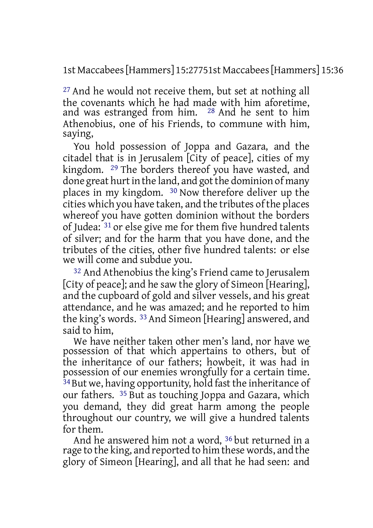1st Maccabees[Hammers] 15:27751st Maccabees[Hammers] 15:36

27 And he would not receive them, but set at nothing all the covenants which he had made with him aforetime, and was estranged from him. 28 And he sent to him Athenobius, one of his Friends, to commune with him, saying,

You hold possession of Joppa and Gazara, and the citadel that is in Jerusalem [City of peace], cities of my kingdom. 29 The borders thereof you have wasted, and done great hurt in the land, and got the dominion of many places in my kingdom. 30 Now therefore deliver up the cities which you have taken, and the tributes of the places whereof you have gotten dominion without the borders of Judea: 31 or else give me for them five hundred talents of silver; and for the harm that you have done, and the tributes of the cities, other five hundred talents: or else we will come and subdue you.

32 And Athenobius the king's Friend came to Jerusalem [City of peace]; and he saw the glory of Simeon [Hearing], and the cupboard of gold and silver vessels, and his great attendance, and he was amazed; and he reported to him the king's words. 33 And Simeon [Hearing] answered, and said to him,

We have neither taken other men's land, nor have we possession of that which appertains to others, but of the inheritance of our fathers; howbeit, it was had in possession of our enemies wrongfully for a certain time. 34But we, having opportunity, hold fast the inheritance of our fathers. 35 But as touching Joppa and Gazara, which you demand, they did great harm among the people throughout our country, we will give a hundred talents for them.

And he answered him not a word, 36 but returned in a rage to the king, and reported to him these words, and the glory of Simeon [Hearing], and all that he had seen: and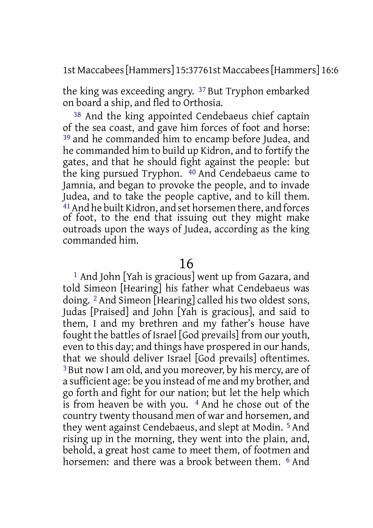1st Maccabees[Hammers] 15:37761st Maccabees[Hammers] 16:6

the king was exceeding angry. 37 But Tryphon embarked on board a ship, and fled to Orthosia.

38 And the king appointed Cendebaeus chief captain of the sea coast, and gave him forces of foot and horse: 39 and he commanded him to encamp before Judea, and he commanded him to build up Kidron, and to fortify the gates, and that he should fight against the people: but the king pursued Tryphon. 40 And Cendebaeus came to Jamnia, and began to provoke the people, and to invade Judea, and to take the people captive, and to kill them. 41And he built Kidron, and set horsemen there, and forces of foot, to the end that issuing out they might make outroads upon the ways of Judea, according as the king commanded him.

## 16

1 And John [Yah is gracious] went up from Gazara, and told Simeon [Hearing] his father what Cendebaeus was doing. 2 And Simeon [Hearing] called his two oldest sons, Judas [Praised] and John [Yah is gracious], and said to them, I and my brethren and my father's house have fought the battles of Israel [God prevails] from our youth, even to this day; and things have prospered in our hands, that we should deliver Israel [God prevails] oftentimes. 3 But now I am old, and you moreover, by his mercy, are of a sufficient age: be you instead of me and my brother, and go forth and fight for our nation; but let the help which is from heaven be with you. 4 And he chose out of the country twenty thousand men of war and horsemen, and they went against Cendebaeus, and slept at Modin. 5 And rising up in the morning, they went into the plain, and, behold, a great host came to meet them, of footmen and horsemen: and there was a brook between them. <sup>6</sup> And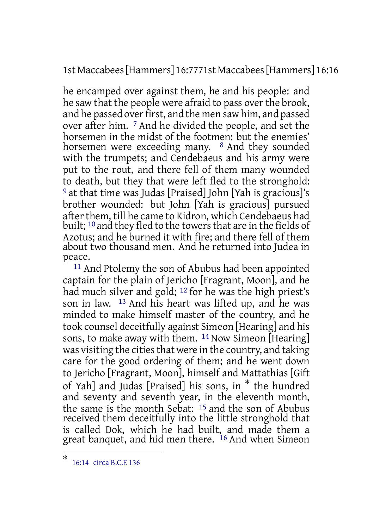1st Maccabees[Hammers] 16:7771st Maccabees[Hammers] 16:16

he encamped over against them, he and his people: and he saw that the people were afraid to pass over the brook, and he passed over first, and the men saw him, and passed over after him. 7 And he divided the people, and set the horsemen in the midst of the footmen: but the enemies' horsemen were exceeding many. <sup>8</sup> And they sounded with the trumpets; and Cendebaeus and his army were put to the rout, and there fell of them many wounded to death, but they that were left fled to the stronghold: 9 at that time was Judas [Praised] John [Yah is gracious]'s brother wounded: but John [Yah is gracious] pursued after them, till he came to Kidron, which Cendebaeus had built; <sup>10</sup> and they fled to the towers that are in the fields of Azotus; and he burned it with fire; and there fell of them about two thousand men. And he returned into Judea in peace.

11 And Ptolemy the son of Abubus had been appointed captain for the plain of Jericho [Fragrant, Moon], and he had much silver and gold; 12 for he was the high priest's son in law. 13 And his heart was lifted up, and he was minded to make himself master of the country, and he took counsel deceitfully against Simeon [Hearing] and his sons, to make away with them. <sup>14</sup> Now Simeon [Hearing] was visiting the cities that were in the country, and taking care for the good ordering of them; and he went down to Jericho [Fragrant, Moon], himself and Mattathias [Gift of Yah] and Judas [Praised] his sons, in \* the hundred and seventy and seventh year, in the eleventh month, the same is the month Sebat: 15 and the son of Abubus received them deceitfully into the little stronghold that is called Dok, which he had built, and made them a great banquet, and hid men there. <sup>16</sup> And when Simeon

<sup>\*</sup> 16:14 circa B.C.E 136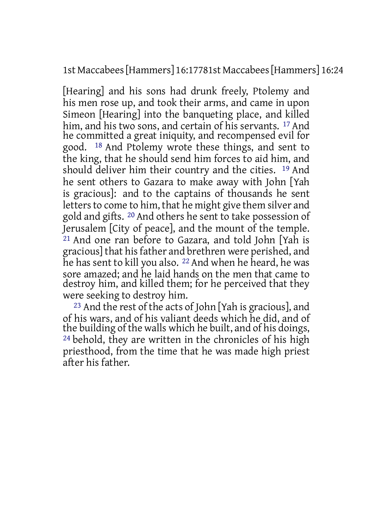1st Maccabees[Hammers] 16:17781st Maccabees[Hammers] 16:24

[Hearing] and his sons had drunk freely, Ptolemy and his men rose up, and took their arms, and came in upon Simeon [Hearing] into the banqueting place, and killed him, and his two sons, and certain of his servants. <sup>17</sup> And he committed a great iniquity, and recompensed evil for good. 18 And Ptolemy wrote these things, and sent to the king, that he should send him forces to aid him, and should deliver him their country and the cities. 19 And he sent others to Gazara to make away with John [Yah is gracious]: and to the captains of thousands he sent letters to come to him, that he might give them silver and gold and gifts. 20 And others he sent to take possession of Jerusalem [City of peace], and the mount of the temple.  $21$  And one ran before to Gazara, and told John [Yah is gracious] that hisfather and brethren were perished, and he has sent to kill you also. <sup>22</sup> And when he heard, he was sore amazed; and he laid hands on the men that came to destroy him, and killed them; for he perceived that they were seeking to destroy him.

23 And the rest of the acts of John [Yah is gracious], and of his wars, and of his valiant deeds which he did, and of the building of the walls which he built, and of his doings, 24 behold, they are written in the chronicles of his high priesthood, from the time that he was made high priest after his father.